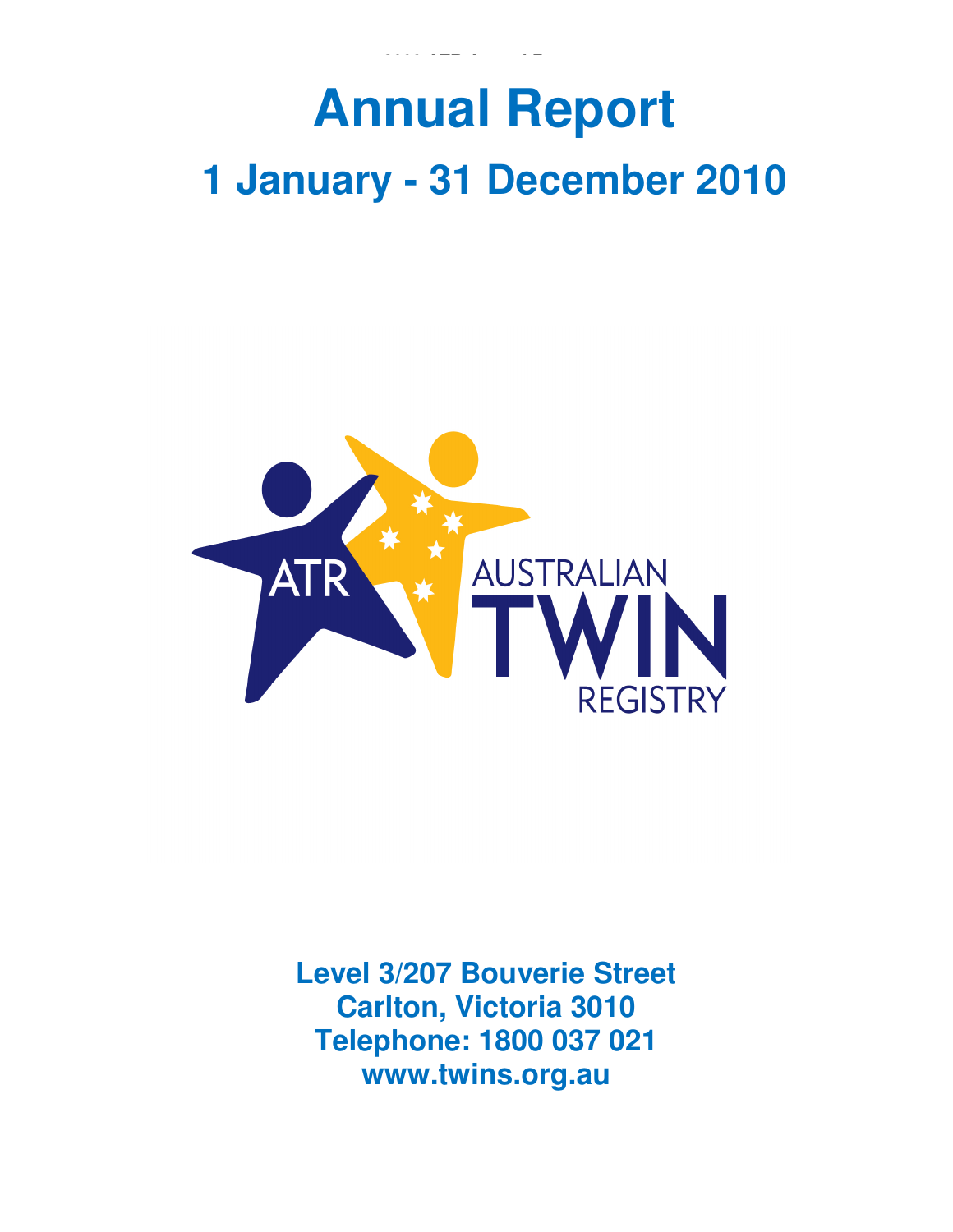# **AUSTRALIAN TWIN REGISTRY Annual Report 1 January - 31 December 2010**



**Level 3/207 Bouverie Street Carlton, Victoria 3010 Telephone: 1800 037 021 www.twins.org.au**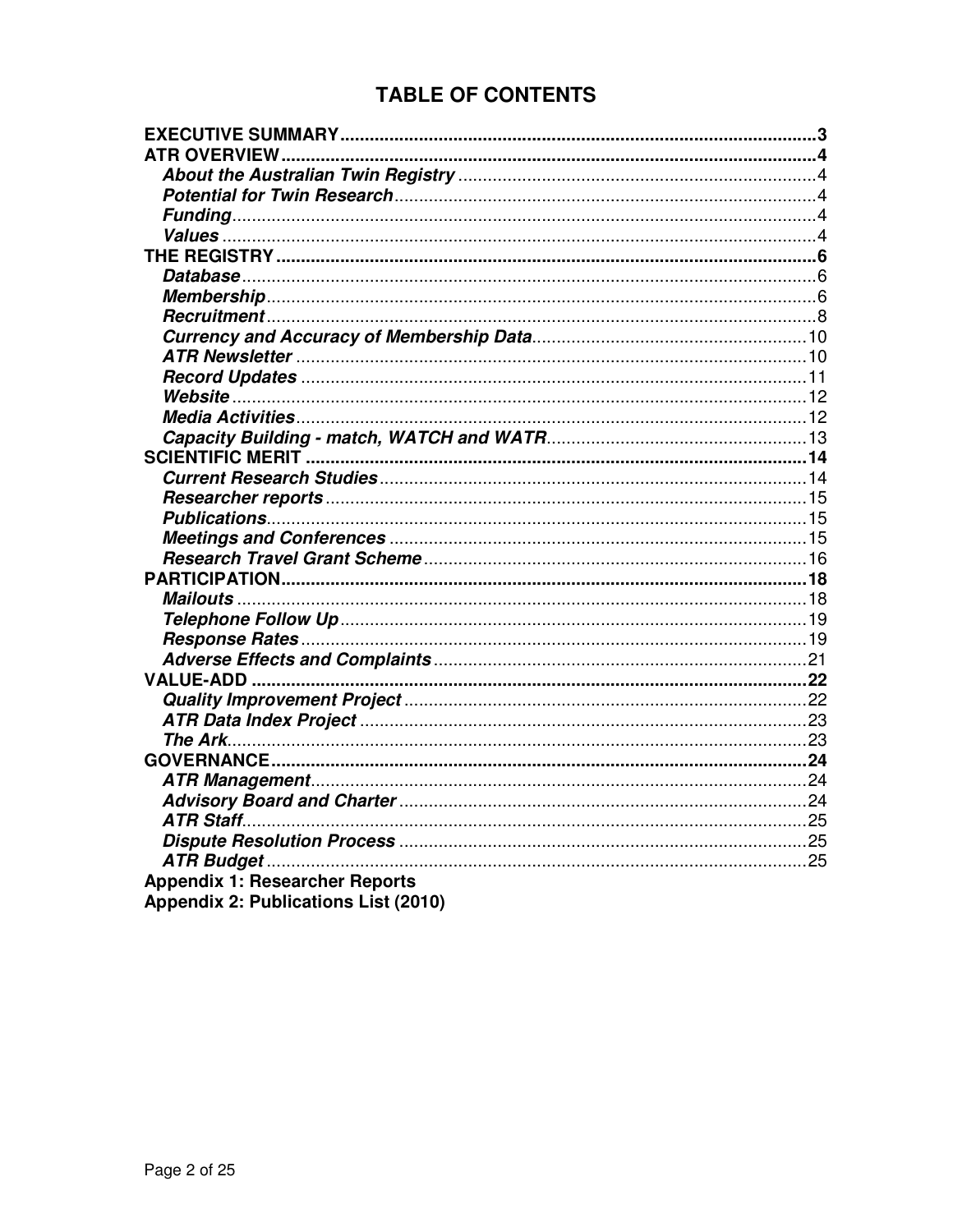# **TABLE OF CONTENTS**

| <b>ATR OVERVIEW.</b>                  |  |
|---------------------------------------|--|
|                                       |  |
|                                       |  |
|                                       |  |
|                                       |  |
|                                       |  |
|                                       |  |
|                                       |  |
|                                       |  |
|                                       |  |
|                                       |  |
|                                       |  |
|                                       |  |
|                                       |  |
|                                       |  |
|                                       |  |
|                                       |  |
|                                       |  |
|                                       |  |
|                                       |  |
|                                       |  |
|                                       |  |
|                                       |  |
|                                       |  |
|                                       |  |
|                                       |  |
|                                       |  |
|                                       |  |
|                                       |  |
|                                       |  |
|                                       |  |
|                                       |  |
|                                       |  |
|                                       |  |
|                                       |  |
|                                       |  |
| <b>Appendix 1: Researcher Reports</b> |  |
| Appendix 2: Publications List (2010)  |  |
|                                       |  |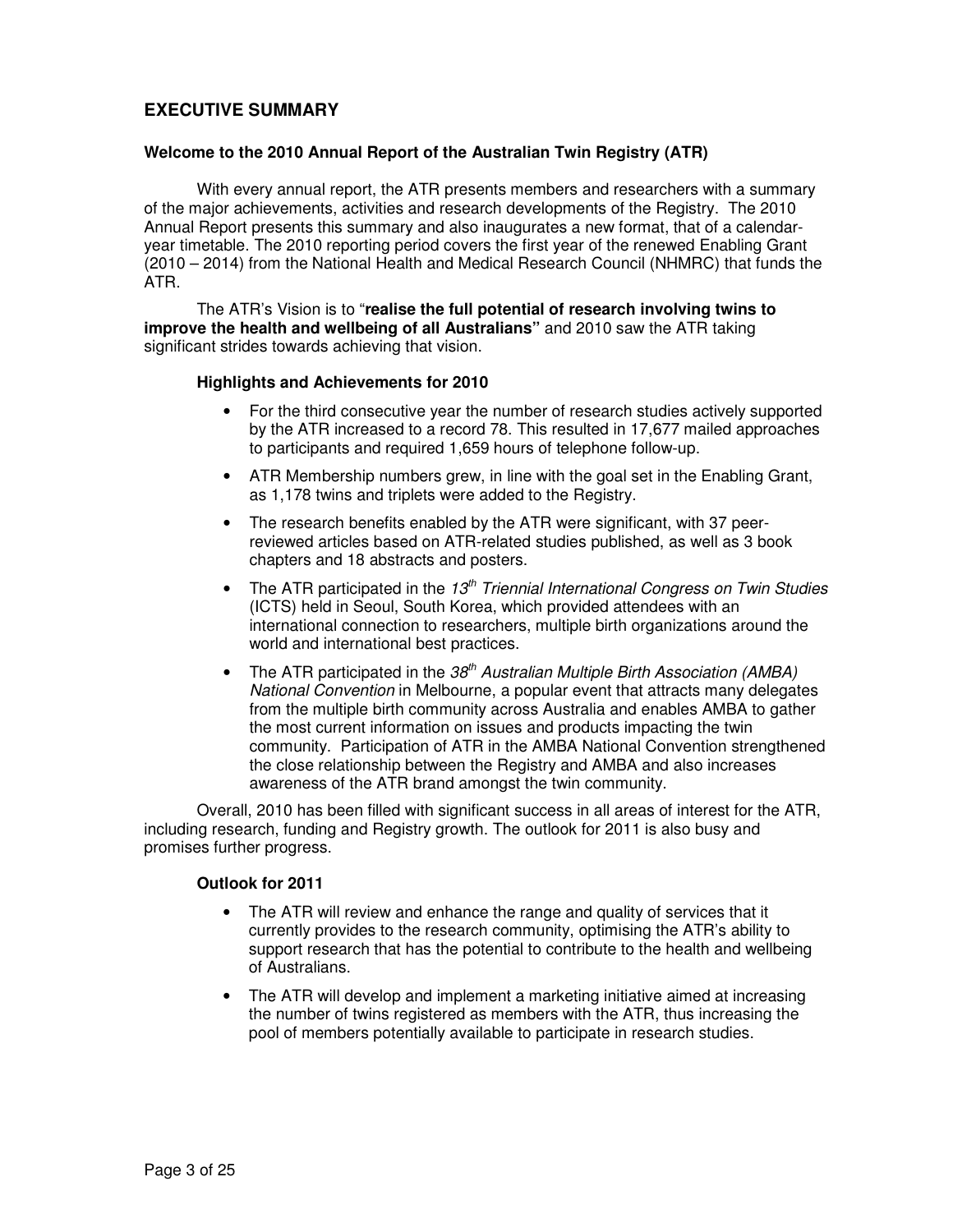# **EXECUTIVE SUMMARY**

### **Welcome to the 2010 Annual Report of the Australian Twin Registry (ATR)**

With every annual report, the ATR presents members and researchers with a summary of the major achievements, activities and research developments of the Registry. The 2010 Annual Report presents this summary and also inaugurates a new format, that of a calendaryear timetable. The 2010 reporting period covers the first year of the renewed Enabling Grant (2010 – 2014) from the National Health and Medical Research Council (NHMRC) that funds the ATR.

The ATR's Vision is to "**realise the full potential of research involving twins to improve the health and wellbeing of all Australians"** and 2010 saw the ATR taking significant strides towards achieving that vision.

### **Highlights and Achievements for 2010**

- For the third consecutive year the number of research studies actively supported by the ATR increased to a record 78. This resulted in 17,677 mailed approaches to participants and required 1,659 hours of telephone follow-up.
- ATR Membership numbers grew, in line with the goal set in the Enabling Grant, as 1,178 twins and triplets were added to the Registry.
- The research benefits enabled by the ATR were significant, with 37 peerreviewed articles based on ATR-related studies published, as well as 3 book chapters and 18 abstracts and posters.
- The ATR participated in the 13<sup>th</sup> Triennial International Congress on Twin Studies (ICTS) held in Seoul, South Korea, which provided attendees with an international connection to researchers, multiple birth organizations around the world and international best practices.
- The ATR participated in the  $38<sup>th</sup>$  Australian Multiple Birth Association (AMBA) National Convention in Melbourne, a popular event that attracts many delegates from the multiple birth community across Australia and enables AMBA to gather the most current information on issues and products impacting the twin community. Participation of ATR in the AMBA National Convention strengthened the close relationship between the Registry and AMBA and also increases awareness of the ATR brand amongst the twin community.

Overall, 2010 has been filled with significant success in all areas of interest for the ATR, including research, funding and Registry growth. The outlook for 2011 is also busy and promises further progress.

### **Outlook for 2011**

- The ATR will review and enhance the range and quality of services that it currently provides to the research community, optimising the ATR's ability to support research that has the potential to contribute to the health and wellbeing of Australians.
- The ATR will develop and implement a marketing initiative aimed at increasing the number of twins registered as members with the ATR, thus increasing the pool of members potentially available to participate in research studies.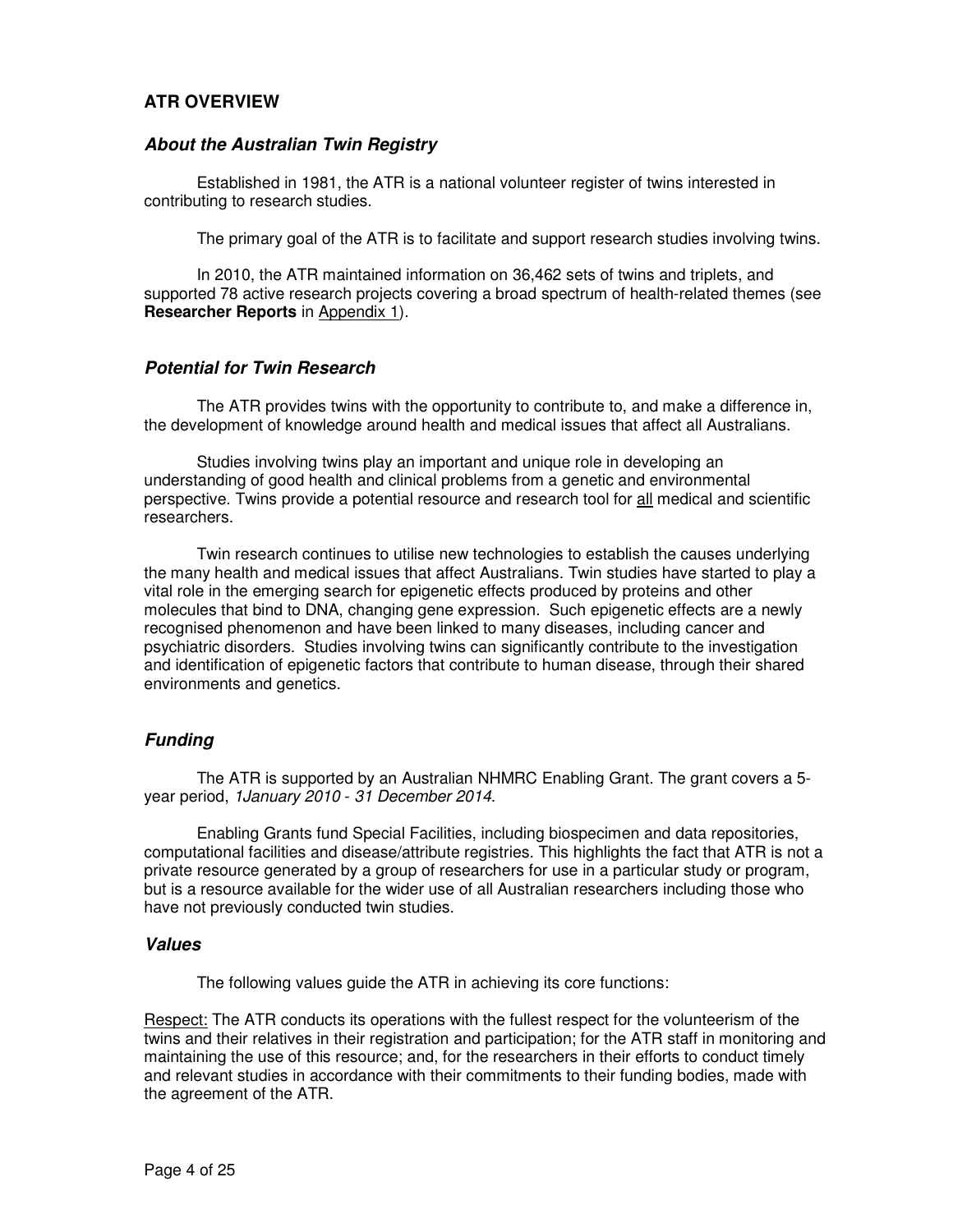# **ATR OVERVIEW**

### **About the Australian Twin Registry**

Established in 1981, the ATR is a national volunteer register of twins interested in contributing to research studies.

The primary goal of the ATR is to facilitate and support research studies involving twins.

In 2010, the ATR maintained information on 36,462 sets of twins and triplets, and supported 78 active research projects covering a broad spectrum of health-related themes (see **Researcher Reports** in Appendix 1).

### **Potential for Twin Research**

The ATR provides twins with the opportunity to contribute to, and make a difference in, the development of knowledge around health and medical issues that affect all Australians.

Studies involving twins play an important and unique role in developing an understanding of good health and clinical problems from a genetic and environmental perspective. Twins provide a potential resource and research tool for all medical and scientific researchers.

Twin research continues to utilise new technologies to establish the causes underlying the many health and medical issues that affect Australians. Twin studies have started to play a vital role in the emerging search for epigenetic effects produced by proteins and other molecules that bind to DNA, changing gene expression. Such epigenetic effects are a newly recognised phenomenon and have been linked to many diseases, including cancer and psychiatric disorders. Studies involving twins can significantly contribute to the investigation and identification of epigenetic factors that contribute to human disease, through their shared environments and genetics.

### **Funding**

The ATR is supported by an Australian NHMRC Enabling Grant. The grant covers a 5 year period, 1January 2010 - 31 December 2014.

Enabling Grants fund Special Facilities, including biospecimen and data repositories, computational facilities and disease/attribute registries. This highlights the fact that ATR is not a private resource generated by a group of researchers for use in a particular study or program, but is a resource available for the wider use of all Australian researchers including those who have not previously conducted twin studies.

### **Values**

The following values guide the ATR in achieving its core functions:

Respect: The ATR conducts its operations with the fullest respect for the volunteerism of the twins and their relatives in their registration and participation; for the ATR staff in monitoring and maintaining the use of this resource; and, for the researchers in their efforts to conduct timely and relevant studies in accordance with their commitments to their funding bodies, made with the agreement of the ATR.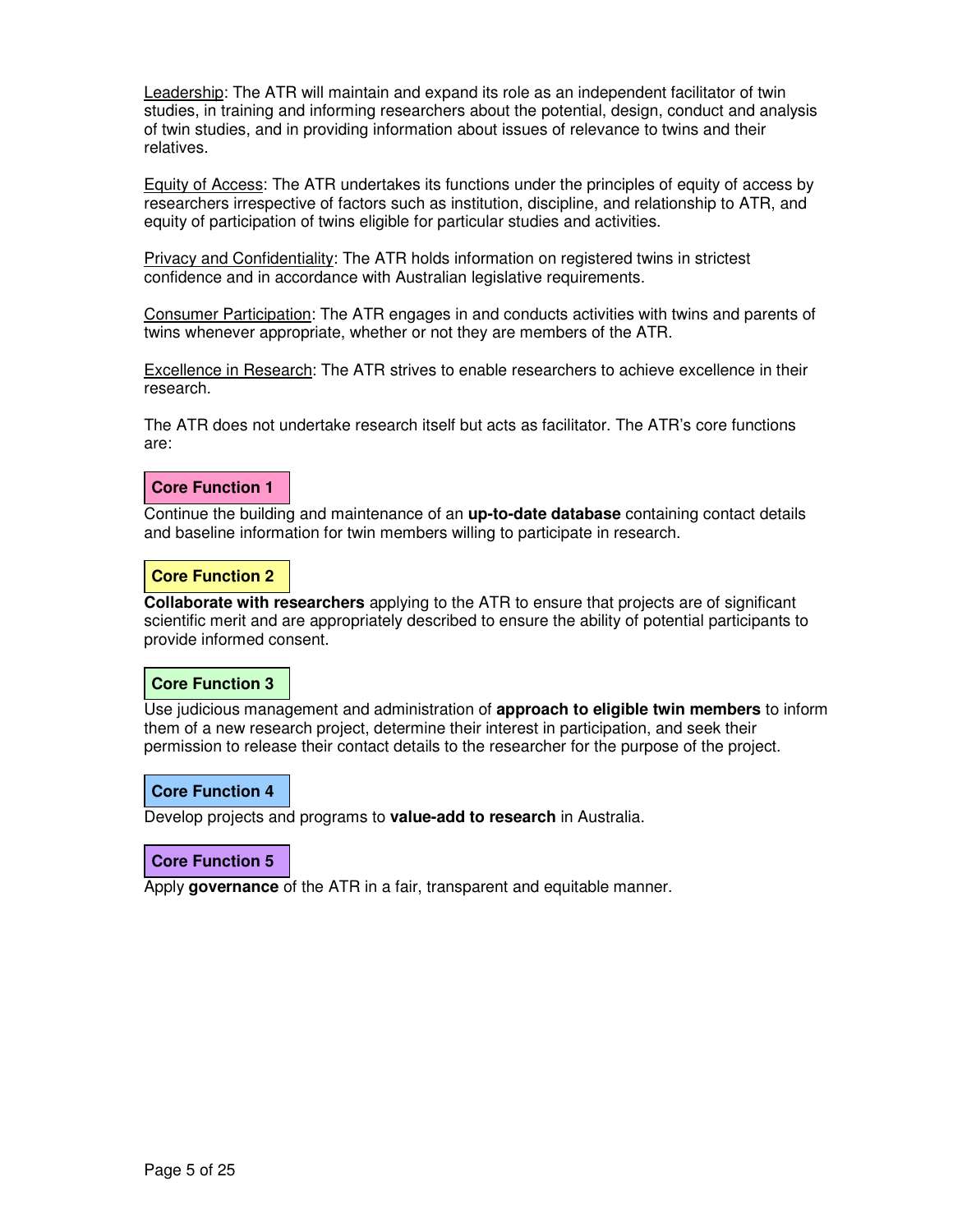Leadership: The ATR will maintain and expand its role as an independent facilitator of twin studies, in training and informing researchers about the potential, design, conduct and analysis of twin studies, and in providing information about issues of relevance to twins and their relatives.

Equity of Access: The ATR undertakes its functions under the principles of equity of access by researchers irrespective of factors such as institution, discipline, and relationship to ATR, and equity of participation of twins eligible for particular studies and activities.

Privacy and Confidentiality: The ATR holds information on registered twins in strictest confidence and in accordance with Australian legislative requirements.

Consumer Participation: The ATR engages in and conducts activities with twins and parents of twins whenever appropriate, whether or not they are members of the ATR.

Excellence in Research: The ATR strives to enable researchers to achieve excellence in their research.

The ATR does not undertake research itself but acts as facilitator. The ATR's core functions are:

### **Core Function 1**

Continue the building and maintenance of an **up-to-date database** containing contact details and baseline information for twin members willing to participate in research.

### **Core Function 2**

**Collaborate with researchers** applying to the ATR to ensure that projects are of significant scientific merit and are appropriately described to ensure the ability of potential participants to provide informed consent.

### **Core Function 3**

Use judicious management and administration of **approach to eligible twin members** to inform them of a new research project, determine their interest in participation, and seek their permission to release their contact details to the researcher for the purpose of the project.

### **Core Function 4**

Develop projects and programs to **value-add to research** in Australia.

### **Core Function 5**

Apply **governance** of the ATR in a fair, transparent and equitable manner.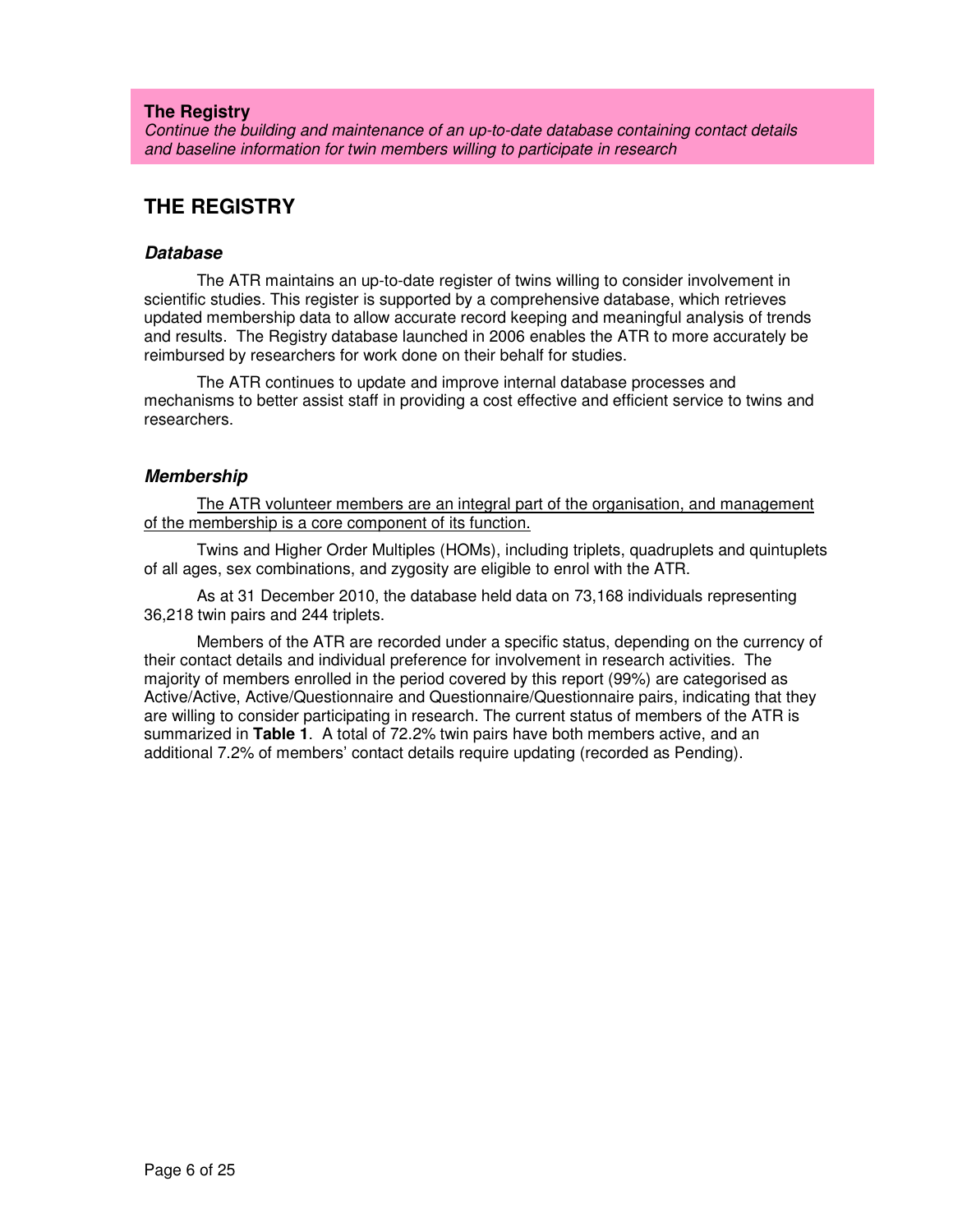### **The Registry**

Continue the building and maintenance of an up-to-date database containing contact details and baseline information for twin members willing to participate in research

# **THE REGISTRY**

### **Database**

The ATR maintains an up-to-date register of twins willing to consider involvement in scientific studies. This register is supported by a comprehensive database, which retrieves updated membership data to allow accurate record keeping and meaningful analysis of trends and results. The Registry database launched in 2006 enables the ATR to more accurately be reimbursed by researchers for work done on their behalf for studies.

The ATR continues to update and improve internal database processes and mechanisms to better assist staff in providing a cost effective and efficient service to twins and researchers.

### **Membership**

The ATR volunteer members are an integral part of the organisation, and management of the membership is a core component of its function.

Twins and Higher Order Multiples (HOMs), including triplets, quadruplets and quintuplets of all ages, sex combinations, and zygosity are eligible to enrol with the ATR.

As at 31 December 2010, the database held data on 73,168 individuals representing 36,218 twin pairs and 244 triplets.

Members of the ATR are recorded under a specific status, depending on the currency of their contact details and individual preference for involvement in research activities. The majority of members enrolled in the period covered by this report (99%) are categorised as Active/Active, Active/Questionnaire and Questionnaire/Questionnaire pairs, indicating that they are willing to consider participating in research. The current status of members of the ATR is summarized in **Table 1**. A total of 72.2% twin pairs have both members active, and an additional 7.2% of members' contact details require updating (recorded as Pending).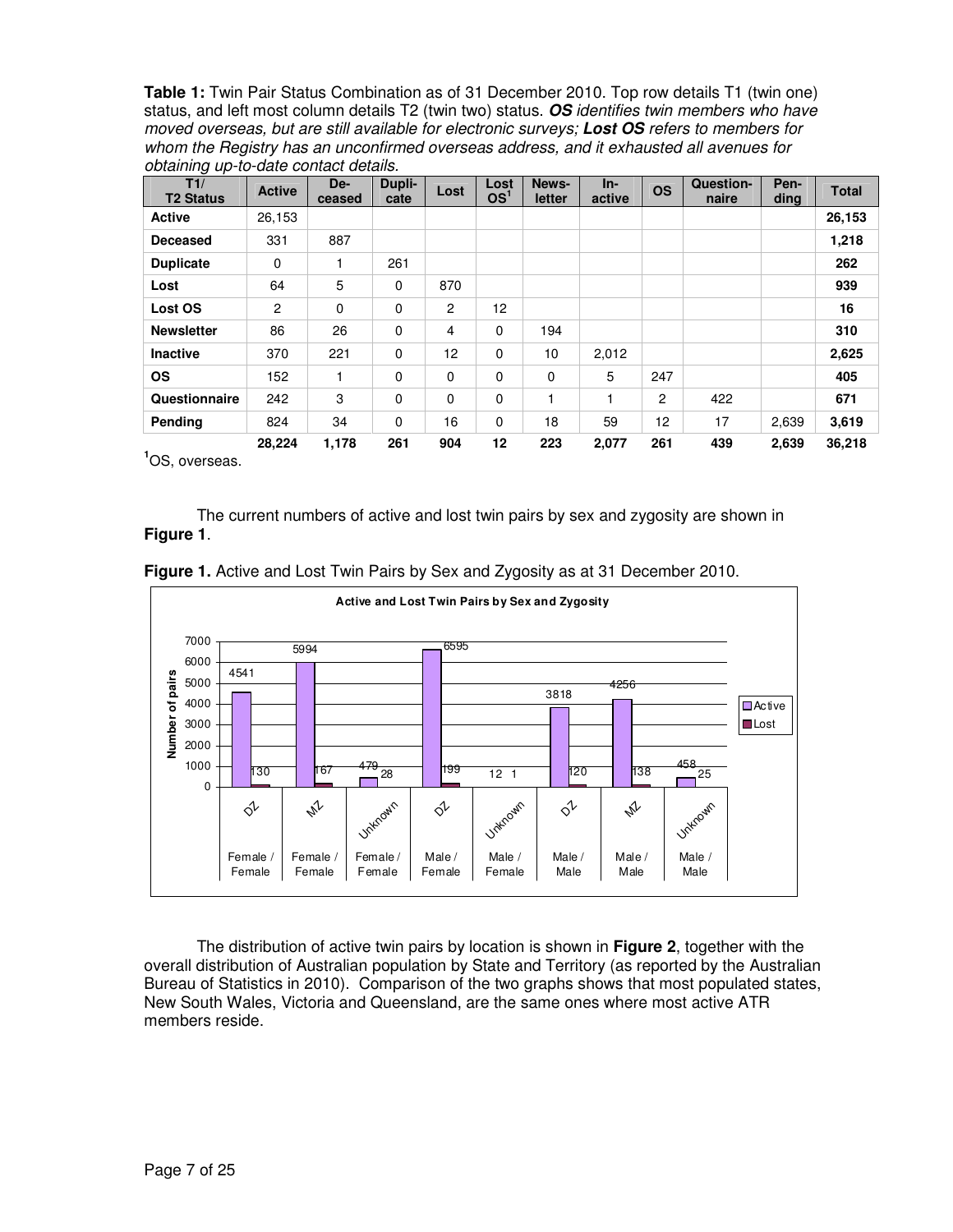**Table 1:** Twin Pair Status Combination as of 31 December 2010. Top row details T1 (twin one) status, and left most column details T2 (twin two) status. **OS** identifies twin members who have moved overseas, but are still available for electronic surveys; **Lost OS** refers to members for whom the Registry has an unconfirmed overseas address, and it exhausted all avenues for obtaining up-to-date contact details.

| T1/<br><b>T2 Status</b> | <b>Active</b>  | De-<br>ceased | Dupli-<br>cate | Lost           | Lost<br>OS <sup>1</sup> | News-<br>letter | $In-$<br>active | <b>OS</b>      | Question-<br>naire | Pen-<br>ding | <b>Total</b> |
|-------------------------|----------------|---------------|----------------|----------------|-------------------------|-----------------|-----------------|----------------|--------------------|--------------|--------------|
| <b>Active</b>           | 26,153         |               |                |                |                         |                 |                 |                |                    |              | 26,153       |
| <b>Deceased</b>         | 331            | 887           |                |                |                         |                 |                 |                |                    |              | 1,218        |
| <b>Duplicate</b>        | $\Omega$       | 1             | 261            |                |                         |                 |                 |                |                    |              | 262          |
| Lost                    | 64             | 5             | 0              | 870            |                         |                 |                 |                |                    |              | 939          |
| Lost OS                 | $\overline{2}$ | 0             | $\mathbf 0$    | $\overline{c}$ | 12                      |                 |                 |                |                    |              | 16           |
| <b>Newsletter</b>       | 86             | 26            | 0              | 4              | $\mathbf 0$             | 194             |                 |                |                    |              | 310          |
| <b>Inactive</b>         | 370            | 221           | 0              | 12             | $\mathbf 0$             | 10              | 2,012           |                |                    |              | 2,625        |
| <b>OS</b>               | 152            | 1             | 0              | 0              | $\mathbf 0$             | 0               | 5               | 247            |                    |              | 405          |
| Questionnaire           | 242            | 3             | 0              | $\mathbf 0$    | $\mathbf 0$             |                 |                 | $\overline{c}$ | 422                |              | 671          |
| Pending                 | 824            | 34            | $\Omega$       | 16             | 0                       | 18              | 59              | 12             | 17                 | 2,639        | 3,619        |
|                         | 28,224         | 1,178         | 261            | 904            | 12                      | 223             | 2,077           | 261            | 439                | 2,639        | 36,218       |

**<sup>1</sup>**OS, overseas.

The current numbers of active and lost twin pairs by sex and zygosity are shown in **Figure 1**.





The distribution of active twin pairs by location is shown in **Figure 2**, together with the overall distribution of Australian population by State and Territory (as reported by the Australian Bureau of Statistics in 2010). Comparison of the two graphs shows that most populated states, New South Wales, Victoria and Queensland, are the same ones where most active ATR members reside.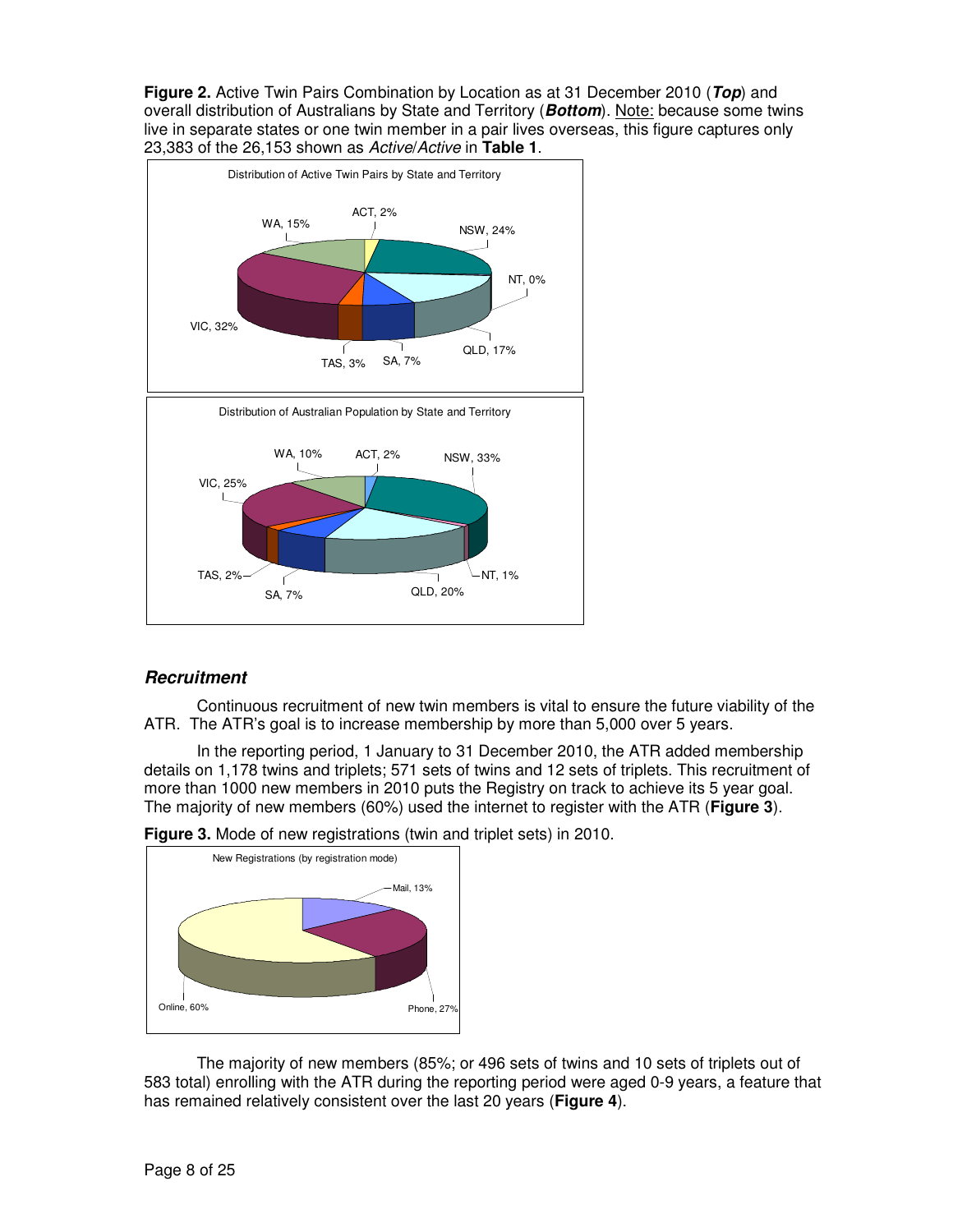**Figure 2.** Active Twin Pairs Combination by Location as at 31 December 2010 (**Top**) and overall distribution of Australians by State and Territory (**Bottom**). Note: because some twins live in separate states or one twin member in a pair lives overseas, this figure captures only 23,383 of the 26,153 shown as Active/Active in **Table 1**.



# **Recruitment**

Continuous recruitment of new twin members is vital to ensure the future viability of the ATR. The ATR's goal is to increase membership by more than 5,000 over 5 years.

In the reporting period, 1 January to 31 December 2010, the ATR added membership details on 1,178 twins and triplets; 571 sets of twins and 12 sets of triplets. This recruitment of more than 1000 new members in 2010 puts the Registry on track to achieve its 5 year goal. The majority of new members (60%) used the internet to register with the ATR (**Figure 3**).



**Figure 3.** Mode of new registrations (twin and triplet sets) in 2010.

The majority of new members (85%; or 496 sets of twins and 10 sets of triplets out of 583 total) enrolling with the ATR during the reporting period were aged 0-9 years, a feature that has remained relatively consistent over the last 20 years (**Figure 4**).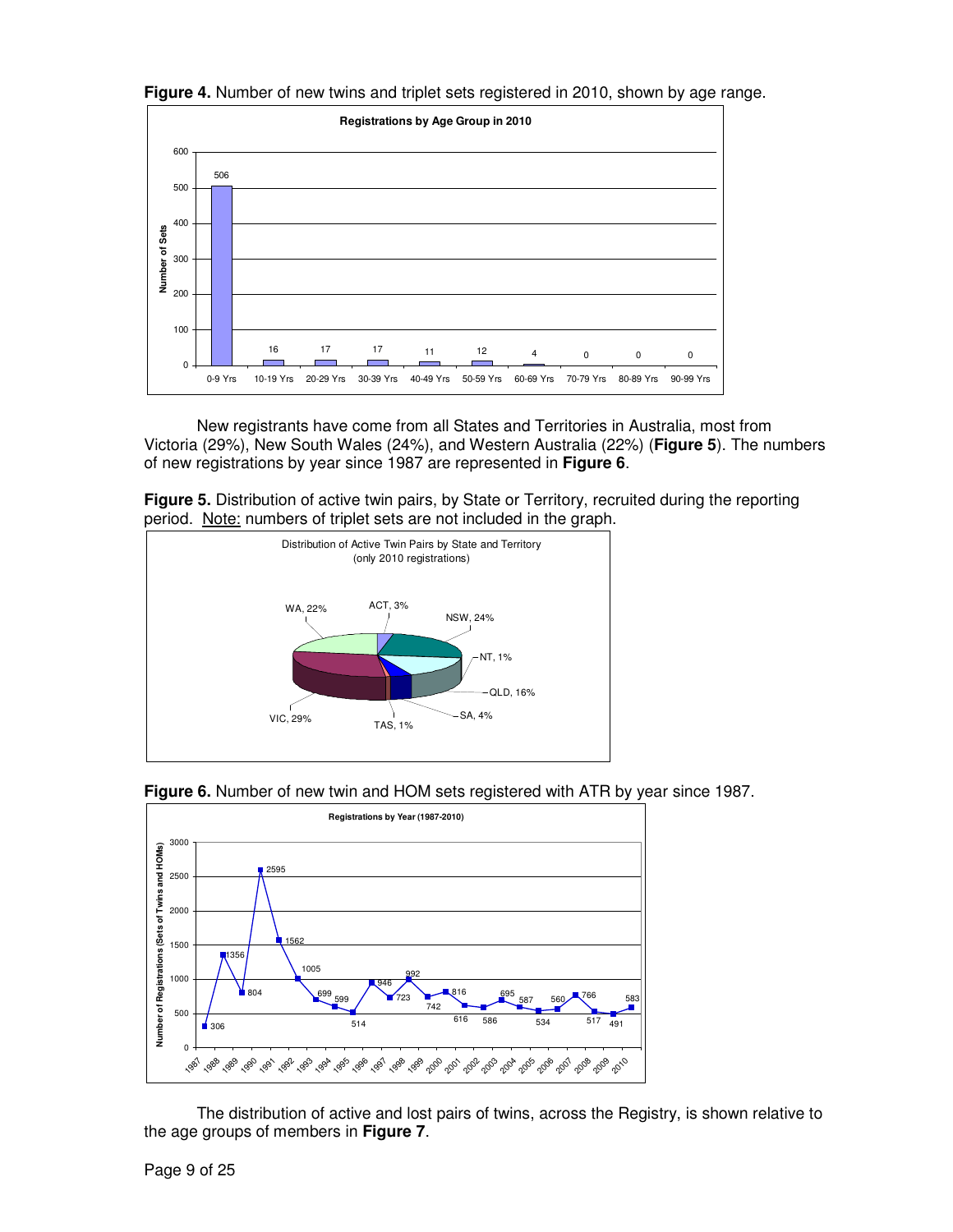



New registrants have come from all States and Territories in Australia, most from Victoria (29%), New South Wales (24%), and Western Australia (22%) (**Figure 5**). The numbers of new registrations by year since 1987 are represented in **Figure 6**.

**Figure 5.** Distribution of active twin pairs, by State or Territory, recruited during the reporting period. Note: numbers of triplet sets are not included in the graph.





**Figure 6.** Number of new twin and HOM sets registered with ATR by year since 1987.

The distribution of active and lost pairs of twins, across the Registry, is shown relative to the age groups of members in **Figure 7**.

Page 9 of 25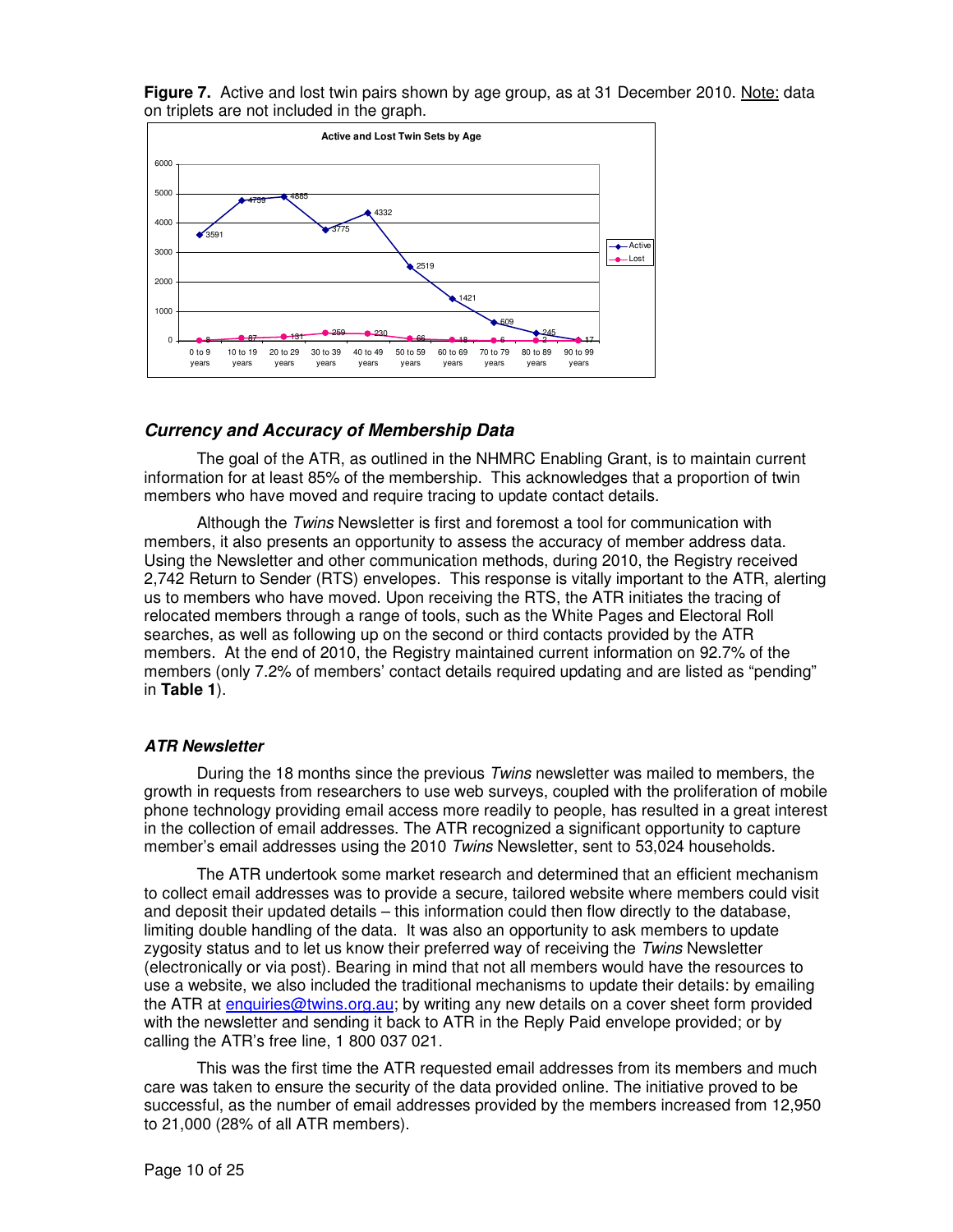**Figure 7.** Active and lost twin pairs shown by age group, as at 31 December 2010. Note: data on triplets are not included in the graph.



### **Currency and Accuracy of Membership Data**

The goal of the ATR, as outlined in the NHMRC Enabling Grant, is to maintain current information for at least 85% of the membership. This acknowledges that a proportion of twin members who have moved and require tracing to update contact details.

Although the Twins Newsletter is first and foremost a tool for communication with members, it also presents an opportunity to assess the accuracy of member address data. Using the Newsletter and other communication methods, during 2010, the Registry received 2,742 Return to Sender (RTS) envelopes. This response is vitally important to the ATR, alerting us to members who have moved. Upon receiving the RTS, the ATR initiates the tracing of relocated members through a range of tools, such as the White Pages and Electoral Roll searches, as well as following up on the second or third contacts provided by the ATR members. At the end of 2010, the Registry maintained current information on 92.7% of the members (only 7.2% of members' contact details required updating and are listed as "pending" in **Table 1**).

### **ATR Newsletter**

During the 18 months since the previous Twins newsletter was mailed to members, the growth in requests from researchers to use web surveys, coupled with the proliferation of mobile phone technology providing email access more readily to people, has resulted in a great interest in the collection of email addresses. The ATR recognized a significant opportunity to capture member's email addresses using the 2010 Twins Newsletter, sent to 53,024 households.

The ATR undertook some market research and determined that an efficient mechanism to collect email addresses was to provide a secure, tailored website where members could visit and deposit their updated details – this information could then flow directly to the database, limiting double handling of the data. It was also an opportunity to ask members to update zygosity status and to let us know their preferred way of receiving the Twins Newsletter (electronically or via post). Bearing in mind that not all members would have the resources to use a website, we also included the traditional mechanisms to update their details: by emailing the ATR at enquiries@twins.org.au; by writing any new details on a cover sheet form provided with the newsletter and sending it back to ATR in the Reply Paid envelope provided; or by calling the ATR's free line, 1 800 037 021.

This was the first time the ATR requested email addresses from its members and much care was taken to ensure the security of the data provided online. The initiative proved to be successful, as the number of email addresses provided by the members increased from 12,950 to 21,000 (28% of all ATR members).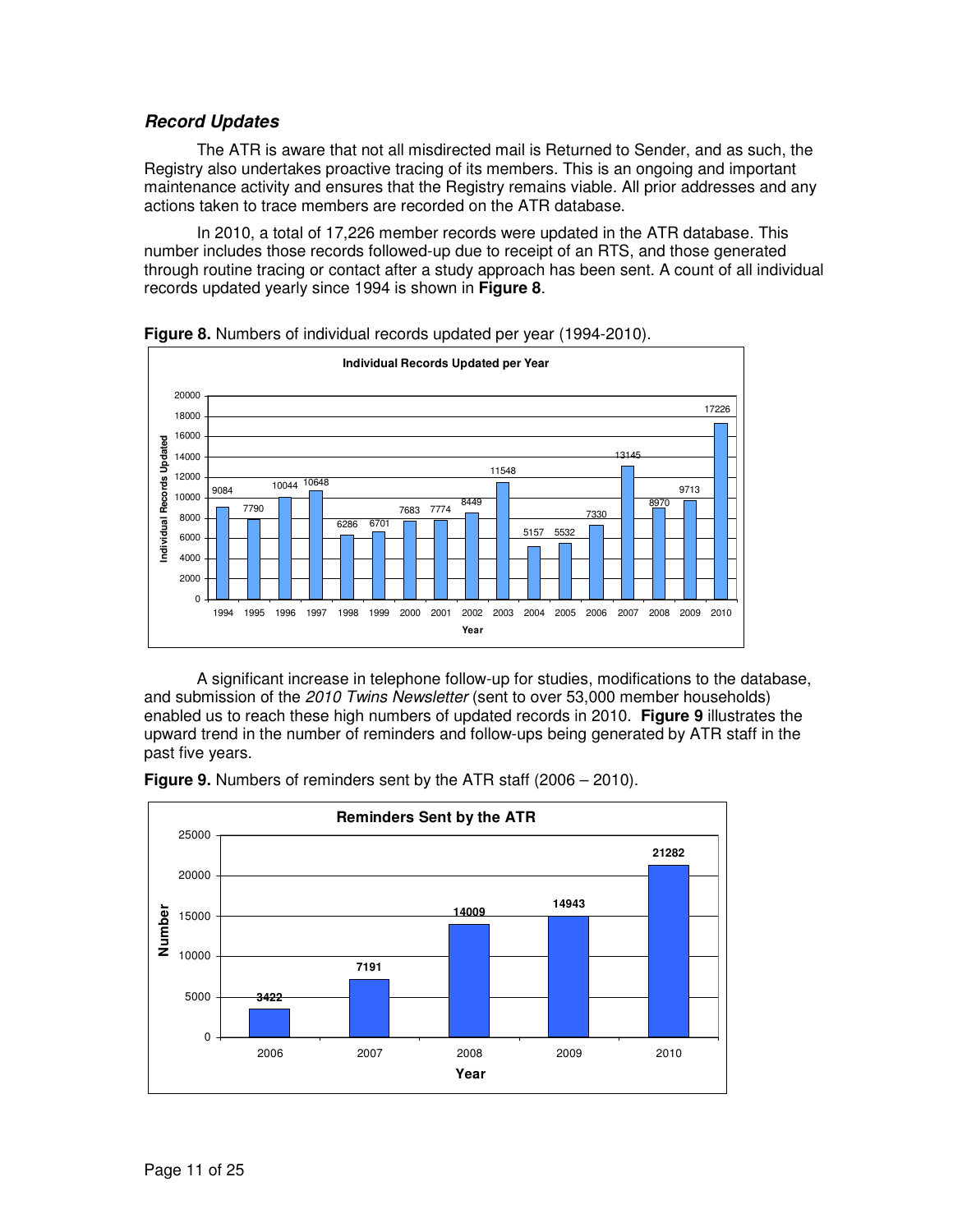## **Record Updates**

The ATR is aware that not all misdirected mail is Returned to Sender, and as such, the Registry also undertakes proactive tracing of its members. This is an ongoing and important maintenance activity and ensures that the Registry remains viable. All prior addresses and any actions taken to trace members are recorded on the ATR database.

In 2010, a total of 17,226 member records were updated in the ATR database. This number includes those records followed-up due to receipt of an RTS, and those generated through routine tracing or contact after a study approach has been sent. A count of all individual records updated yearly since 1994 is shown in **Figure 8**.



**Figure 8.** Numbers of individual records updated per year (1994-2010).

A significant increase in telephone follow-up for studies, modifications to the database, and submission of the 2010 Twins Newsletter (sent to over 53,000 member households) enabled us to reach these high numbers of updated records in 2010. **Figure 9** illustrates the upward trend in the number of reminders and follow-ups being generated by ATR staff in the past five years.



**Figure 9.** Numbers of reminders sent by the ATR staff (2006 – 2010).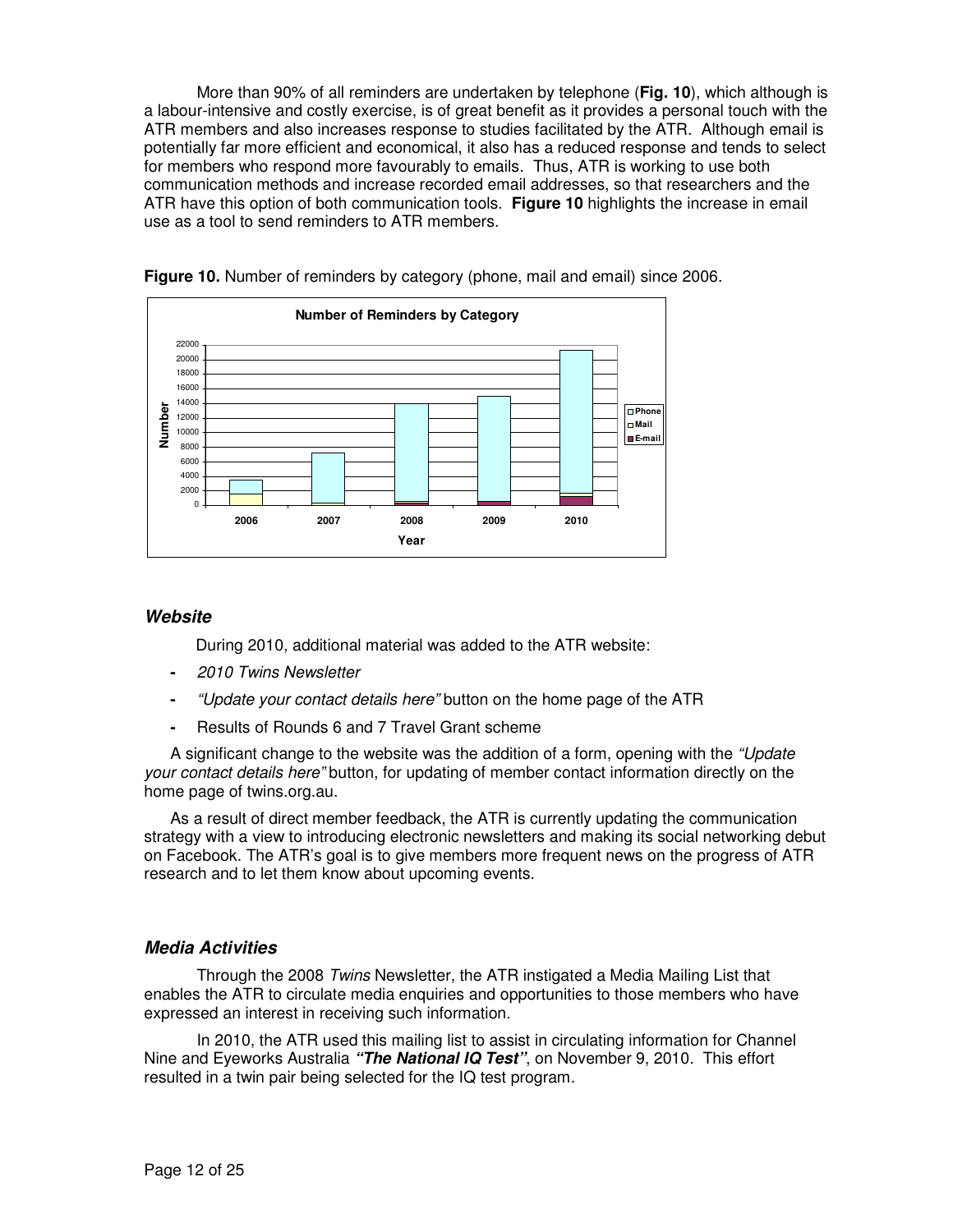More than 90% of all reminders are undertaken by telephone (**Fig. 10**), which although is a labour-intensive and costly exercise, is of great benefit as it provides a personal touch with the ATR members and also increases response to studies facilitated by the ATR. Although email is potentially far more efficient and economical, it also has a reduced response and tends to select for members who respond more favourably to emails. Thus, ATR is working to use both communication methods and increase recorded email addresses, so that researchers and the ATR have this option of both communication tools. **Figure 10** highlights the increase in email use as a tool to send reminders to ATR members.



**Figure 10.** Number of reminders by category (phone, mail and email) since 2006.

### **Website**

During 2010, additional material was added to the ATR website:

- 2010 Twins Newsletter
- "Update your contact details here" button on the home page of the ATR
- Results of Rounds 6 and 7 Travel Grant scheme

A significant change to the website was the addition of a form, opening with the "Update your contact details here" button, for updating of member contact information directly on the home page of twins.org.au.

As a result of direct member feedback, the ATR is currently updating the communication strategy with a view to introducing electronic newsletters and making its social networking debut on Facebook. The ATR's goal is to give members more frequent news on the progress of ATR research and to let them know about upcoming events.

### **Media Activities**

Through the 2008 Twins Newsletter, the ATR instigated a Media Mailing List that enables the ATR to circulate media enquiries and opportunities to those members who have expressed an interest in receiving such information.

In 2010, the ATR used this mailing list to assist in circulating information for Channel Nine and Eyeworks Australia **"The National IQ Test"**, on November 9, 2010. This effort resulted in a twin pair being selected for the IQ test program.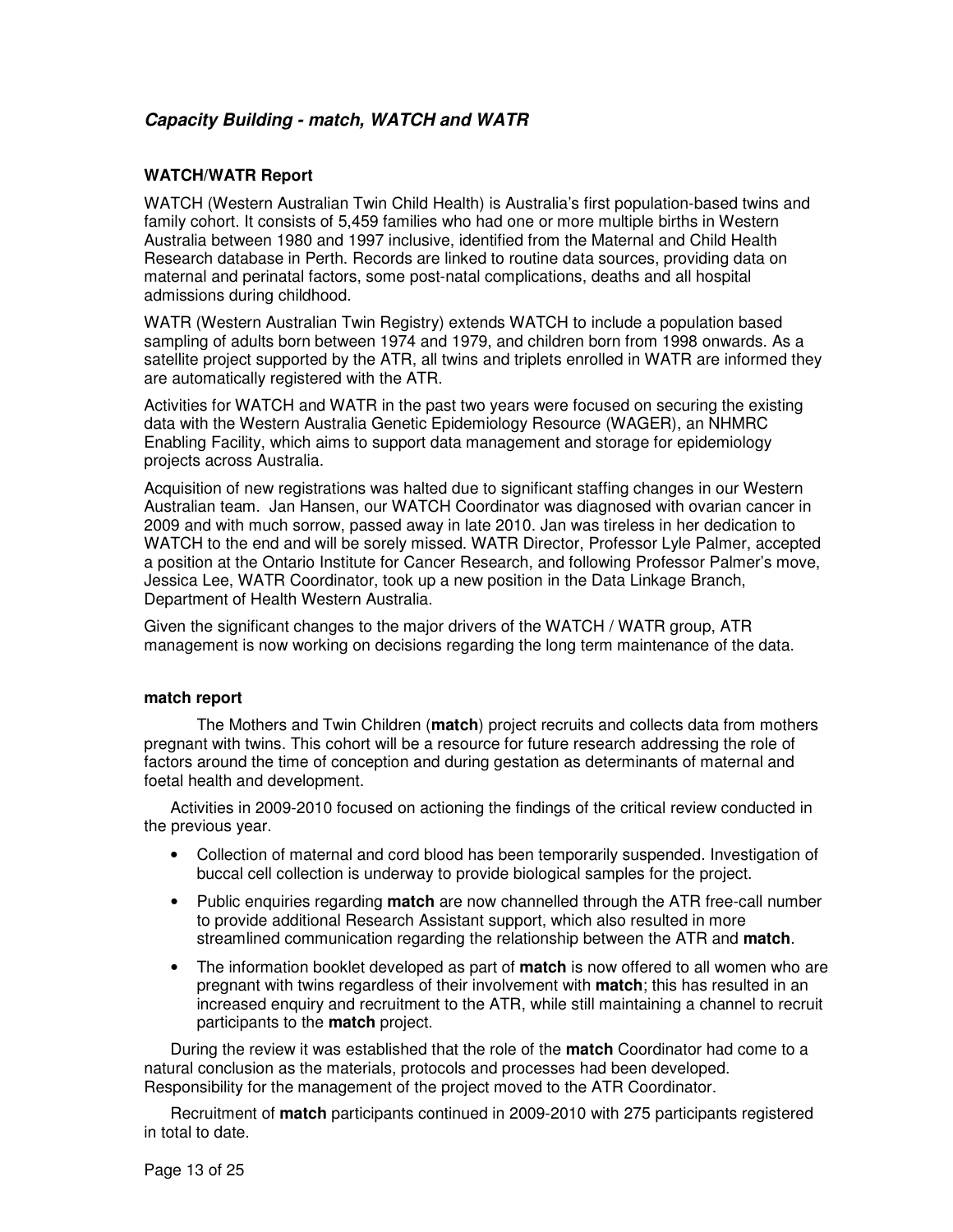# **Capacity Building - match, WATCH and WATR**

### **WATCH/WATR Report**

WATCH (Western Australian Twin Child Health) is Australia's first population-based twins and family cohort. It consists of 5,459 families who had one or more multiple births in Western Australia between 1980 and 1997 inclusive, identified from the Maternal and Child Health Research database in Perth. Records are linked to routine data sources, providing data on maternal and perinatal factors, some post-natal complications, deaths and all hospital admissions during childhood.

WATR (Western Australian Twin Registry) extends WATCH to include a population based sampling of adults born between 1974 and 1979, and children born from 1998 onwards. As a satellite project supported by the ATR, all twins and triplets enrolled in WATR are informed they are automatically registered with the ATR.

Activities for WATCH and WATR in the past two years were focused on securing the existing data with the Western Australia Genetic Epidemiology Resource (WAGER), an NHMRC Enabling Facility, which aims to support data management and storage for epidemiology projects across Australia.

Acquisition of new registrations was halted due to significant staffing changes in our Western Australian team. Jan Hansen, our WATCH Coordinator was diagnosed with ovarian cancer in 2009 and with much sorrow, passed away in late 2010. Jan was tireless in her dedication to WATCH to the end and will be sorely missed. WATR Director, Professor Lyle Palmer, accepted a position at the Ontario Institute for Cancer Research, and following Professor Palmer's move, Jessica Lee, WATR Coordinator, took up a new position in the Data Linkage Branch, Department of Health Western Australia.

Given the significant changes to the major drivers of the WATCH / WATR group, ATR management is now working on decisions regarding the long term maintenance of the data.

### **match report**

The Mothers and Twin Children (**match**) project recruits and collects data from mothers pregnant with twins. This cohort will be a resource for future research addressing the role of factors around the time of conception and during gestation as determinants of maternal and foetal health and development.

Activities in 2009-2010 focused on actioning the findings of the critical review conducted in the previous year.

- Collection of maternal and cord blood has been temporarily suspended. Investigation of buccal cell collection is underway to provide biological samples for the project.
- Public enquiries regarding **match** are now channelled through the ATR free-call number to provide additional Research Assistant support, which also resulted in more streamlined communication regarding the relationship between the ATR and **match**.
- The information booklet developed as part of **match** is now offered to all women who are pregnant with twins regardless of their involvement with **match**; this has resulted in an increased enquiry and recruitment to the ATR, while still maintaining a channel to recruit participants to the **match** project.

During the review it was established that the role of the **match** Coordinator had come to a natural conclusion as the materials, protocols and processes had been developed. Responsibility for the management of the project moved to the ATR Coordinator.

Recruitment of **match** participants continued in 2009-2010 with 275 participants registered in total to date.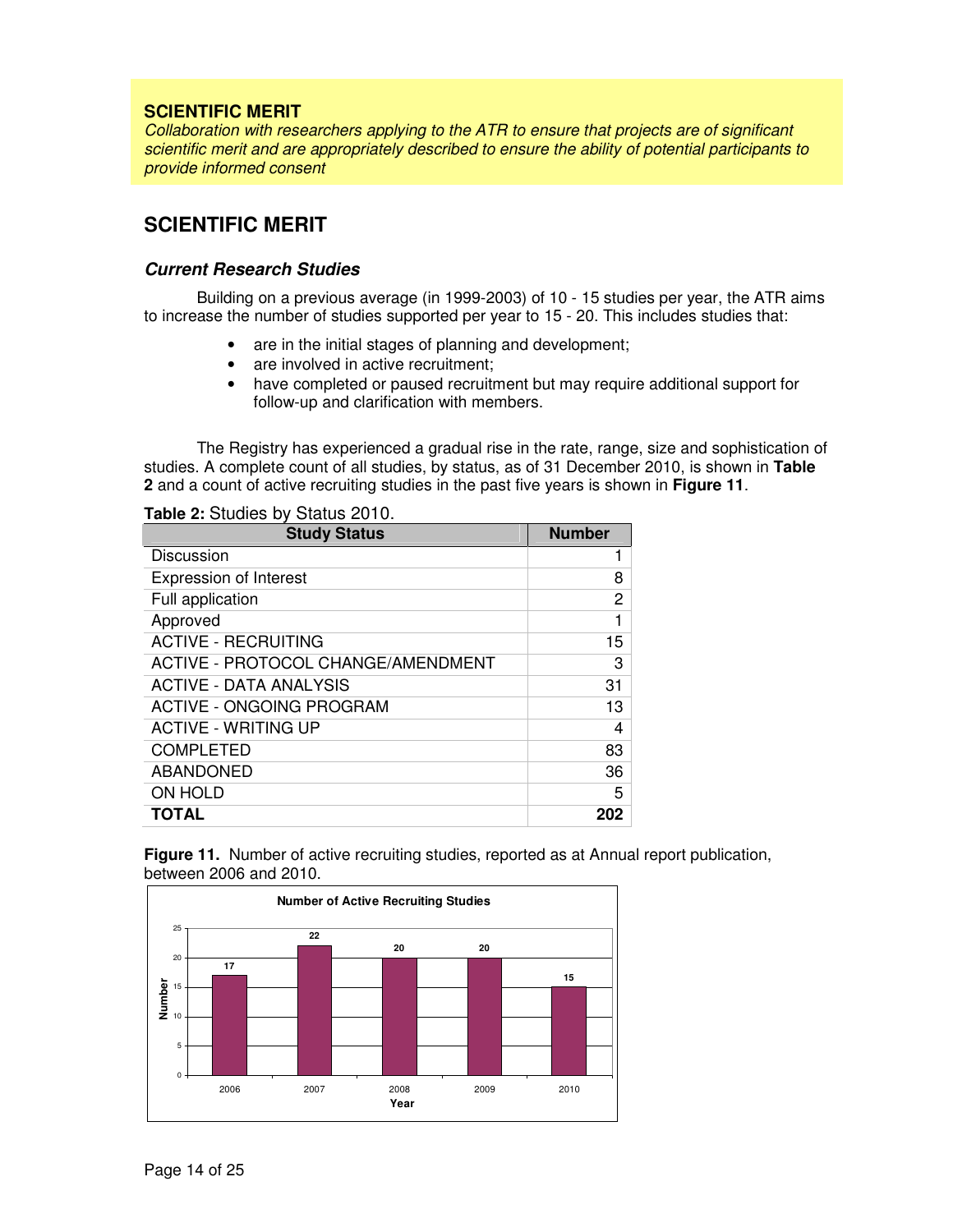### **SCIENTIFIC MERIT**

Collaboration with researchers applying to the ATR to ensure that projects are of significant scientific merit and are appropriately described to ensure the ability of potential participants to provide informed consent

# **SCIENTIFIC MERIT**

### **Current Research Studies**

Building on a previous average (in 1999-2003) of 10 - 15 studies per year, the ATR aims to increase the number of studies supported per year to 15 - 20. This includes studies that:

- are in the initial stages of planning and development;
- are involved in active recruitment;
- have completed or paused recruitment but may require additional support for follow-up and clarification with members.

The Registry has experienced a gradual rise in the rate, range, size and sophistication of studies. A complete count of all studies, by status, as of 31 December 2010, is shown in **Table 2** and a count of active recruiting studies in the past five years is shown in **Figure 11**.

### **Table 2:** Studies by Status 2010.

| <b>Study Status</b>                | <b>Number</b> |
|------------------------------------|---------------|
| Discussion                         |               |
| <b>Expression of Interest</b>      | 8             |
| Full application                   | 2             |
| Approved                           | 1             |
| <b>ACTIVE - RECRUITING</b>         | 15            |
| ACTIVE - PROTOCOL CHANGE/AMENDMENT | 3             |
| <b>ACTIVE - DATA ANALYSIS</b>      | 31            |
| ACTIVE - ONGOING PROGRAM           | 13            |
| <b>ACTIVE - WRITING UP</b>         | 4             |
| <b>COMPLETED</b>                   | 83            |
| <b>ABANDONED</b>                   | 36            |
| <b>ON HOLD</b>                     | 5             |
| <b>TOTAL</b>                       | 202           |

**Figure 11.** Number of active recruiting studies, reported as at Annual report publication, between 2006 and 2010.

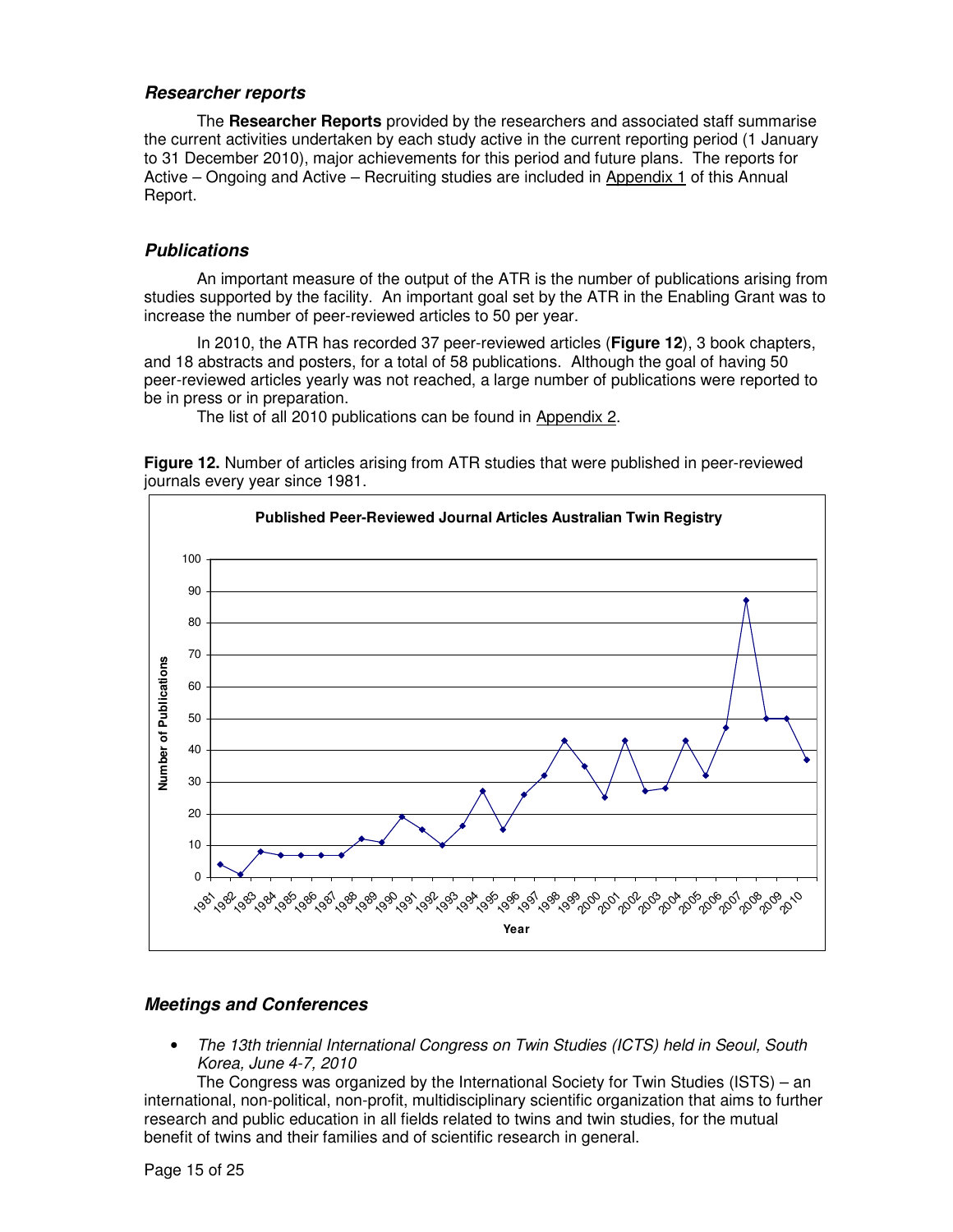### **Researcher reports**

The **Researcher Reports** provided by the researchers and associated staff summarise the current activities undertaken by each study active in the current reporting period (1 January to 31 December 2010), major achievements for this period and future plans. The reports for Active – Ongoing and Active – Recruiting studies are included in Appendix 1 of this Annual Report.

### **Publications**

An important measure of the output of the ATR is the number of publications arising from studies supported by the facility. An important goal set by the ATR in the Enabling Grant was to increase the number of peer-reviewed articles to 50 per year.

In 2010, the ATR has recorded 37 peer-reviewed articles (**Figure 12**), 3 book chapters, and 18 abstracts and posters, for a total of 58 publications. Although the goal of having 50 peer-reviewed articles yearly was not reached, a large number of publications were reported to be in press or in preparation.

The list of all 2010 publications can be found in Appendix 2.

**Figure 12.** Number of articles arising from ATR studies that were published in peer-reviewed journals every year since 1981.



# **Meetings and Conferences**

• The 13th triennial International Congress on Twin Studies (ICTS) held in Seoul, South Korea, June 4-7, 2010

The Congress was organized by the International Society for Twin Studies (ISTS) – an international, non-political, non-profit, multidisciplinary scientific organization that aims to further research and public education in all fields related to twins and twin studies, for the mutual benefit of twins and their families and of scientific research in general.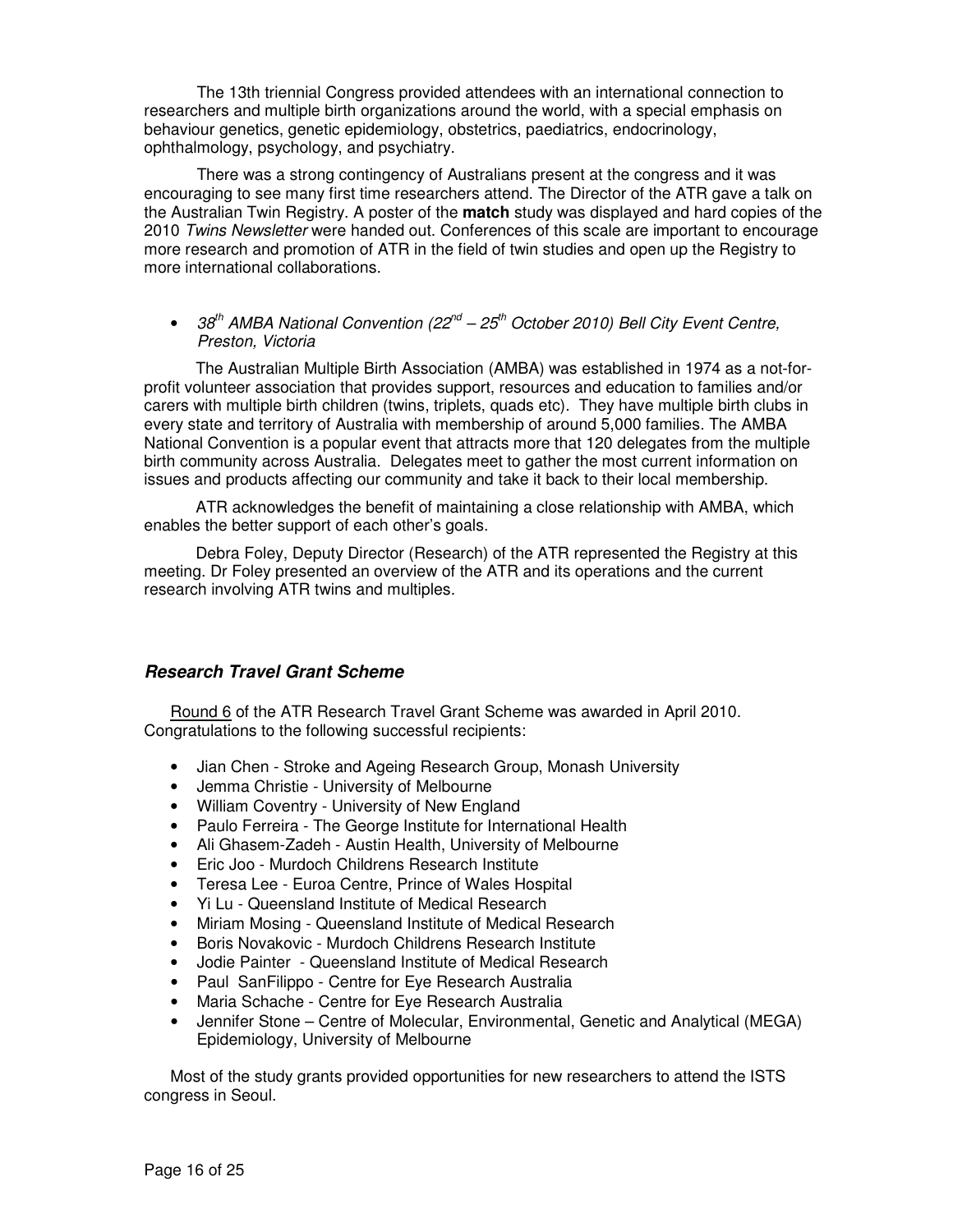The 13th triennial Congress provided attendees with an international connection to researchers and multiple birth organizations around the world, with a special emphasis on behaviour genetics, genetic epidemiology, obstetrics, paediatrics, endocrinology, ophthalmology, psychology, and psychiatry.

There was a strong contingency of Australians present at the congress and it was encouraging to see many first time researchers attend. The Director of the ATR gave a talk on the Australian Twin Registry. A poster of the **match** study was displayed and hard copies of the 2010 Twins Newsletter were handed out. Conferences of this scale are important to encourage more research and promotion of ATR in the field of twin studies and open up the Registry to more international collaborations.

• 38<sup>th</sup> AMBA National Convention (22<sup>nd</sup> – 25<sup>th</sup> October 2010) Bell City Event Centre, Preston, Victoria

The Australian Multiple Birth Association (AMBA) was established in 1974 as a not-forprofit volunteer association that provides support, resources and education to families and/or carers with multiple birth children (twins, triplets, quads etc). They have multiple birth clubs in every state and territory of Australia with membership of around 5,000 families. The AMBA National Convention is a popular event that attracts more that 120 delegates from the multiple birth community across Australia. Delegates meet to gather the most current information on issues and products affecting our community and take it back to their local membership.

ATR acknowledges the benefit of maintaining a close relationship with AMBA, which enables the better support of each other's goals.

Debra Foley, Deputy Director (Research) of the ATR represented the Registry at this meeting. Dr Foley presented an overview of the ATR and its operations and the current research involving ATR twins and multiples.

# **Research Travel Grant Scheme**

Round 6 of the ATR Research Travel Grant Scheme was awarded in April 2010. Congratulations to the following successful recipients:

- Jian Chen Stroke and Ageing Research Group, Monash University
- Jemma Christie University of Melbourne
- William Coventry University of New England
- Paulo Ferreira The George Institute for International Health
- Ali Ghasem-Zadeh Austin Health, University of Melbourne
- Eric Joo Murdoch Childrens Research Institute
- Teresa Lee Euroa Centre, Prince of Wales Hospital
- Yi Lu Queensland Institute of Medical Research
- Miriam Mosing Queensland Institute of Medical Research
- Boris Novakovic Murdoch Childrens Research Institute
- Jodie Painter Queensland Institute of Medical Research
- Paul SanFilippo Centre for Eye Research Australia
- Maria Schache Centre for Eye Research Australia
- Jennifer Stone Centre of Molecular, Environmental, Genetic and Analytical (MEGA) Epidemiology, University of Melbourne

Most of the study grants provided opportunities for new researchers to attend the ISTS congress in Seoul.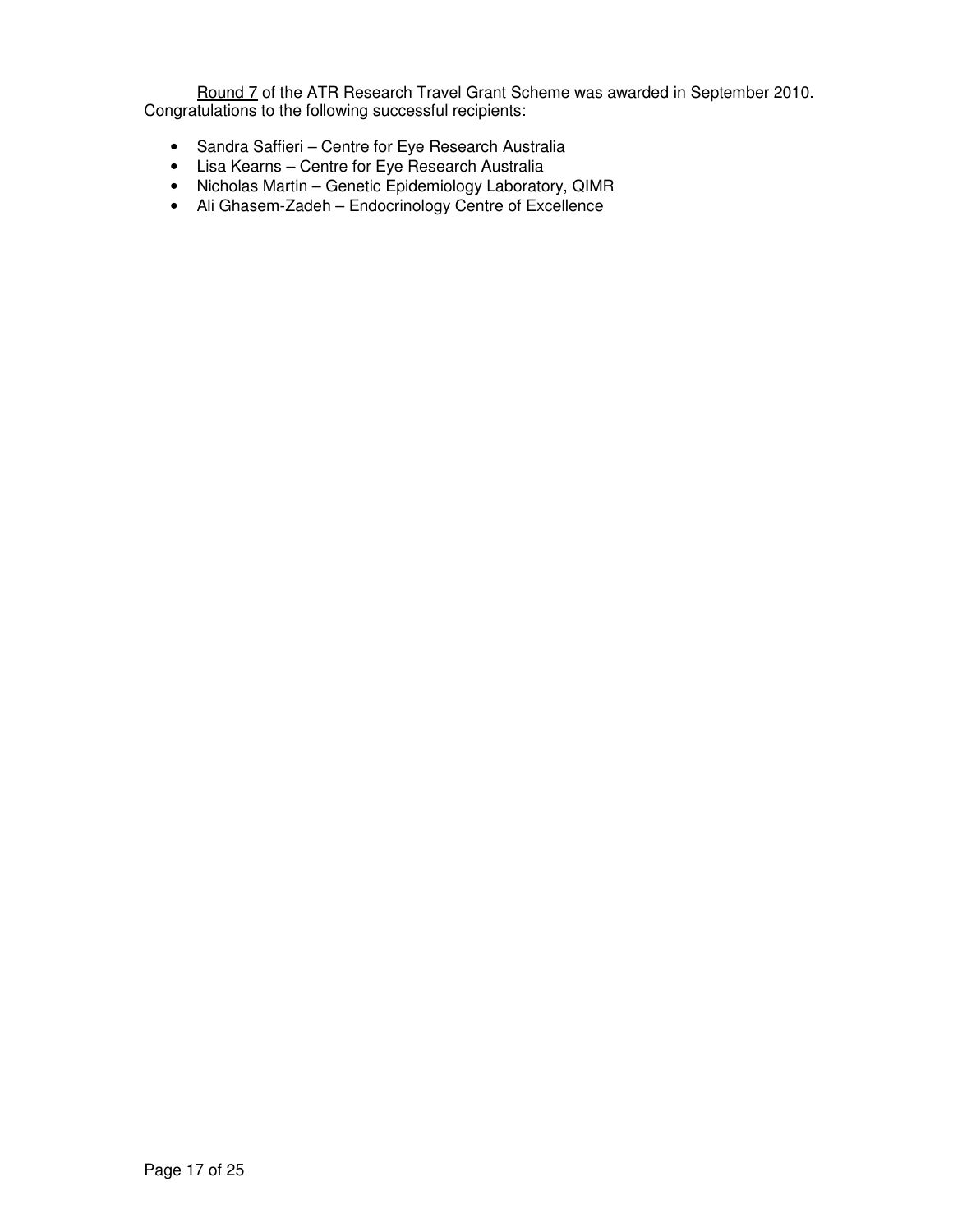Round 7 of the ATR Research Travel Grant Scheme was awarded in September 2010. Congratulations to the following successful recipients:

- Sandra Saffieri Centre for Eye Research Australia
- Lisa Kearns Centre for Eye Research Australia
- Nicholas Martin Genetic Epidemiology Laboratory, QIMR
- Ali Ghasem-Zadeh Endocrinology Centre of Excellence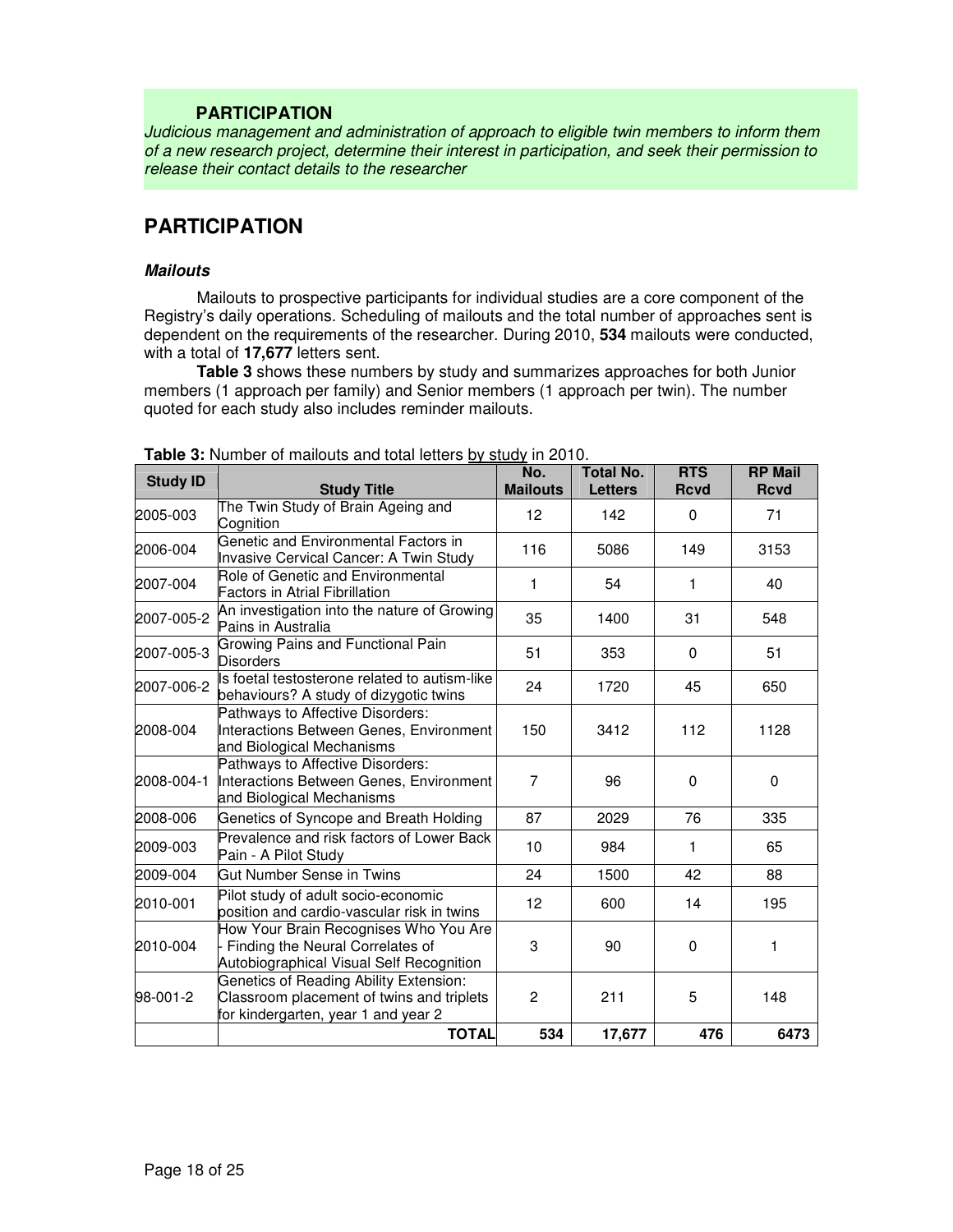# **PARTICIPATION**

Judicious management and administration of approach to eligible twin members to inform them of a new research project, determine their interest in participation, and seek their permission to release their contact details to the researcher

# **PARTICIPATION**

### **Mailouts**

Mailouts to prospective participants for individual studies are a core component of the Registry's daily operations. Scheduling of mailouts and the total number of approaches sent is dependent on the requirements of the researcher. During 2010, **534** mailouts were conducted, with a total of **17,677** letters sent.

**Table 3** shows these numbers by study and summarizes approaches for both Junior members (1 approach per family) and Senior members (1 approach per twin). The number quoted for each study also includes reminder mailouts.

| <b>Study ID</b> | <b>Study Title</b>                                                                                                         | No.<br><b>Mailouts</b> | <b>Total No.</b><br><b>Letters</b> | <b>RTS</b><br><b>Rcvd</b> | <b>RP Mail</b><br><b>Rcvd</b> |
|-----------------|----------------------------------------------------------------------------------------------------------------------------|------------------------|------------------------------------|---------------------------|-------------------------------|
| 2005-003        | The Twin Study of Brain Ageing and<br>Cognition                                                                            | 12                     | 142                                | $\Omega$                  | 71                            |
| 2006-004        | Genetic and Environmental Factors in<br>Invasive Cervical Cancer: A Twin Study                                             | 116                    | 5086                               | 149                       | 3153                          |
| 2007-004        | Role of Genetic and Environmental<br><b>Factors in Atrial Fibrillation</b>                                                 | 1                      | 54                                 | 1                         | 40                            |
| 2007-005-2      | An investigation into the nature of Growing<br>Pains in Australia                                                          | 35                     | 1400                               | 31                        | 548                           |
| 2007-005-3      | Growing Pains and Functional Pain<br><b>Disorders</b>                                                                      | 51                     | 353                                | $\Omega$                  | 51                            |
| 2007-006-2      | Is foetal testosterone related to autism-like<br>behaviours? A study of dizygotic twins                                    | 24                     | 1720                               | 45                        | 650                           |
| 2008-004        | Pathways to Affective Disorders:<br>Interactions Between Genes, Environment<br>and Biological Mechanisms                   | 150                    | 3412                               | 112                       | 1128                          |
| 2008-004-1      | Pathways to Affective Disorders:<br>Interactions Between Genes, Environment<br>and Biological Mechanisms                   | $\overline{7}$         | 96                                 | $\Omega$                  | $\Omega$                      |
| 2008-006        | Genetics of Syncope and Breath Holding                                                                                     | 87                     | 2029                               | 76                        | 335                           |
| 2009-003        | Prevalence and risk factors of Lower Back<br>Pain - A Pilot Study                                                          | 10                     | 984                                | 1                         | 65                            |
| 2009-004        | Gut Number Sense in Twins                                                                                                  | 24                     | 1500                               | 42                        | 88                            |
| 2010-001        | Pilot study of adult socio-economic<br>position and cardio-vascular risk in twins                                          | 12                     | 600                                | 14                        | 195                           |
| 2010-004        | How Your Brain Recognises Who You Are<br>Finding the Neural Correlates of<br>Autobiographical Visual Self Recognition      | 3                      | 90                                 | $\Omega$                  | $\mathbf{1}$                  |
| 98-001-2        | Genetics of Reading Ability Extension:<br>Classroom placement of twins and triplets<br>for kindergarten, year 1 and year 2 | $\mathbf{P}$           | 211                                | 5                         | 148                           |
|                 | <b>TOTAL</b>                                                                                                               | 534                    | 17,677                             | 476                       | 6473                          |

**Table 3:** Number of mailouts and total letters by study in 2010.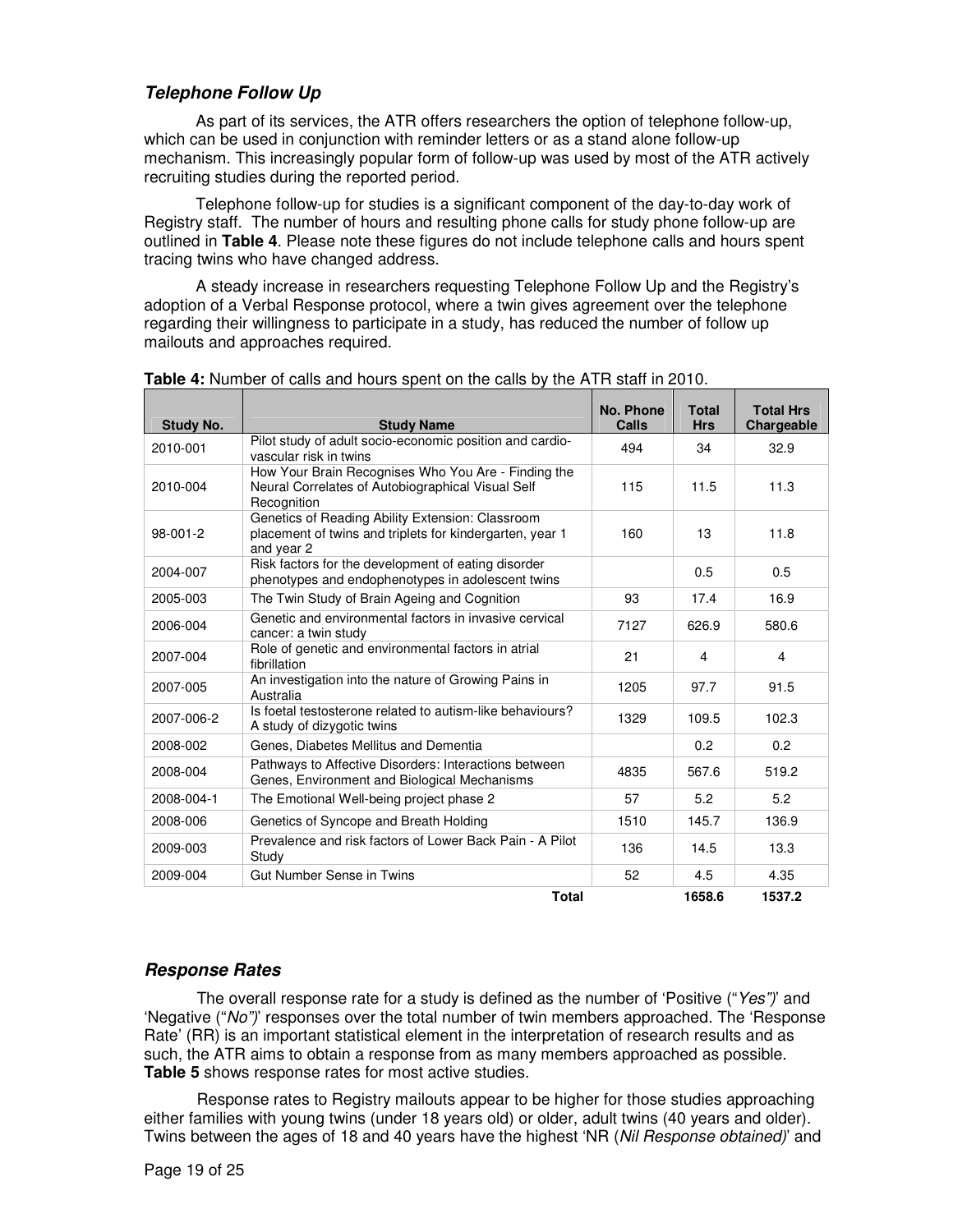# **Telephone Follow Up**

As part of its services, the ATR offers researchers the option of telephone follow-up, which can be used in conjunction with reminder letters or as a stand alone follow-up mechanism. This increasingly popular form of follow-up was used by most of the ATR actively recruiting studies during the reported period.

Telephone follow-up for studies is a significant component of the day-to-day work of Registry staff. The number of hours and resulting phone calls for study phone follow-up are outlined in **Table 4**. Please note these figures do not include telephone calls and hours spent tracing twins who have changed address.

A steady increase in researchers requesting Telephone Follow Up and the Registry's adoption of a Verbal Response protocol, where a twin gives agreement over the telephone regarding their willingness to participate in a study, has reduced the number of follow up mailouts and approaches required.

| Study No.  | <b>Study Name</b>                                                                                                          | <b>No. Phone</b><br>Calls | <b>Total</b><br><b>Hrs</b> | <b>Total Hrs</b><br>Chargeable |
|------------|----------------------------------------------------------------------------------------------------------------------------|---------------------------|----------------------------|--------------------------------|
| 2010-001   | Pilot study of adult socio-economic position and cardio-<br>vascular risk in twins                                         | 494                       | 34                         | 32.9                           |
| 2010-004   | How Your Brain Recognises Who You Are - Finding the<br>Neural Correlates of Autobiographical Visual Self<br>Recognition    | 115                       | 11.5                       | 11.3                           |
| 98-001-2   | Genetics of Reading Ability Extension: Classroom<br>placement of twins and triplets for kindergarten, year 1<br>and year 2 | 160                       | 13                         | 11.8                           |
| 2004-007   | Risk factors for the development of eating disorder<br>phenotypes and endophenotypes in adolescent twins                   |                           | 0.5                        | 0.5                            |
| 2005-003   | The Twin Study of Brain Ageing and Cognition                                                                               | 93                        | 17.4                       | 16.9                           |
| 2006-004   | Genetic and environmental factors in invasive cervical<br>cancer: a twin study                                             | 7127                      | 626.9                      | 580.6                          |
| 2007-004   | Role of genetic and environmental factors in atrial<br>fibrillation                                                        | 21                        | 4                          | 4                              |
| 2007-005   | An investigation into the nature of Growing Pains in<br>Australia                                                          | 1205                      | 97.7                       | 91.5                           |
| 2007-006-2 | Is foetal testosterone related to autism-like behaviours?<br>A study of dizygotic twins                                    | 1329                      | 109.5                      | 102.3                          |
| 2008-002   | Genes, Diabetes Mellitus and Dementia                                                                                      |                           | 0.2                        | 0.2                            |
| 2008-004   | Pathways to Affective Disorders: Interactions between<br>Genes, Environment and Biological Mechanisms                      | 4835                      | 567.6                      | 519.2                          |
| 2008-004-1 | The Emotional Well-being project phase 2                                                                                   | 57                        | 5.2                        | 5.2                            |
| 2008-006   | Genetics of Syncope and Breath Holding                                                                                     | 1510                      | 145.7                      | 136.9                          |
| 2009-003   | Prevalence and risk factors of Lower Back Pain - A Pilot<br>Study                                                          | 136                       | 14.5                       | 13.3                           |
| 2009-004   | Gut Number Sense in Twins                                                                                                  | 52                        | 4.5                        | 4.35                           |
|            | <b>Total</b>                                                                                                               |                           | 1658.6                     | 1537.2                         |

| <b>Table 4:</b> Number of calls and hours spent on the calls by the ATR staff in 2010. |  |  |
|----------------------------------------------------------------------------------------|--|--|
|----------------------------------------------------------------------------------------|--|--|

# **Response Rates**

The overall response rate for a study is defined as the number of 'Positive ("Yes")' and 'Negative ("No")' responses over the total number of twin members approached. The 'Response Rate' (RR) is an important statistical element in the interpretation of research results and as such, the ATR aims to obtain a response from as many members approached as possible. **Table 5** shows response rates for most active studies.

Response rates to Registry mailouts appear to be higher for those studies approaching either families with young twins (under 18 years old) or older, adult twins (40 years and older). Twins between the ages of 18 and 40 years have the highest 'NR (Nil Response obtained)' and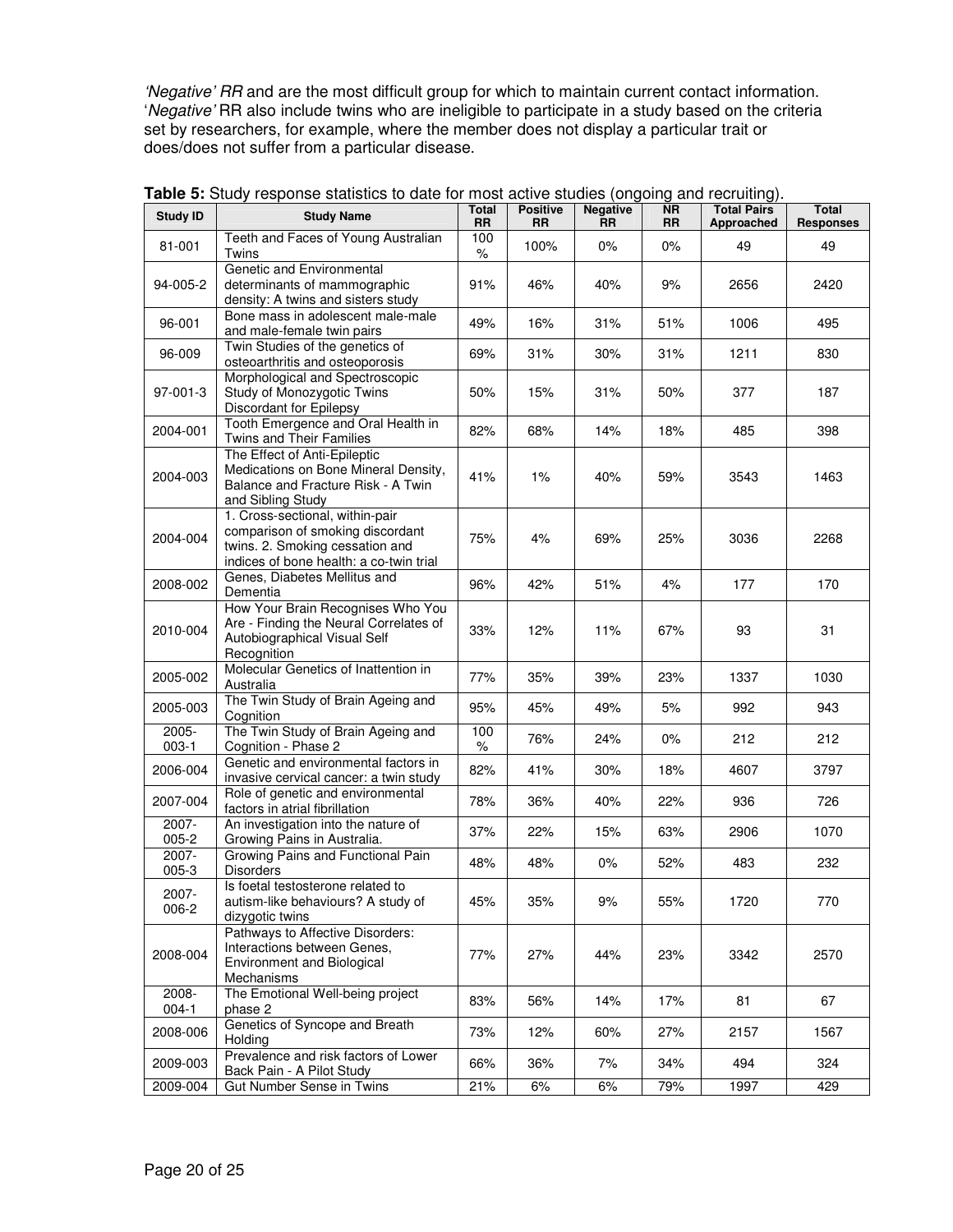'Negative' RR and are the most difficult group for which to maintain current contact information. 'Negative' RR also include twins who are ineligible to participate in a study based on the criteria set by researchers, for example, where the member does not display a particular trait or does/does not suffer from a particular disease.

| <b>Study ID</b>    | <b>Study Name</b>                                                                                                                                 | <b>Total</b><br><b>RR</b> | <b>Positive</b><br><b>RR</b> | <b>Negative</b><br><b>RR</b> | <b>NR</b><br><b>RR</b> | <b>Total Pairs</b><br>Approached | <b>Total</b><br><b>Responses</b> |
|--------------------|---------------------------------------------------------------------------------------------------------------------------------------------------|---------------------------|------------------------------|------------------------------|------------------------|----------------------------------|----------------------------------|
| 81-001             | Teeth and Faces of Young Australian<br>Twins                                                                                                      | 100<br>$\%$               | 100%                         | 0%                           | 0%                     | 49                               | 49                               |
| 94-005-2           | Genetic and Environmental<br>determinants of mammographic<br>density: A twins and sisters study                                                   | 91%                       | 46%                          | 40%                          | 9%                     | 2656                             | 2420                             |
| 96-001             | Bone mass in adolescent male-male<br>and male-female twin pairs                                                                                   | 49%                       | 16%                          | 31%                          | 51%                    | 1006                             | 495                              |
| 96-009             | Twin Studies of the genetics of<br>osteoarthritis and osteoporosis                                                                                | 69%                       | 31%                          | 30%                          | 31%                    | 1211                             | 830                              |
| 97-001-3           | Morphological and Spectroscopic<br>Study of Monozygotic Twins<br>Discordant for Epilepsy                                                          | 50%                       | 15%                          | 31%                          | 50%                    | 377                              | 187                              |
| 2004-001           | Tooth Emergence and Oral Health in<br>Twins and Their Families                                                                                    | 82%                       | 68%                          | 14%                          | 18%                    | 485                              | 398                              |
| 2004-003           | The Effect of Anti-Epileptic<br>Medications on Bone Mineral Density,<br>Balance and Fracture Risk - A Twin<br>and Sibling Study                   | 41%                       | $1\%$                        | 40%                          | 59%                    | 3543                             | 1463                             |
| 2004-004           | 1. Cross-sectional, within-pair<br>comparison of smoking discordant<br>twins. 2. Smoking cessation and<br>indices of bone health: a co-twin trial | 75%                       | 4%                           | 69%                          | 25%                    | 3036                             | 2268                             |
| 2008-002           | Genes. Diabetes Mellitus and<br>Dementia                                                                                                          | 96%                       | 42%                          | 51%                          | 4%                     | 177                              | 170                              |
| 2010-004           | How Your Brain Recognises Who You<br>Are - Finding the Neural Correlates of<br>Autobiographical Visual Self<br>Recognition                        | 33%                       | 12%                          | 11%                          | 67%                    | 93                               | 31                               |
| 2005-002           | Molecular Genetics of Inattention in<br>Australia                                                                                                 | 77%                       | 35%                          | 39%                          | 23%                    | 1337                             | 1030                             |
| 2005-003           | The Twin Study of Brain Ageing and<br>Cognition                                                                                                   | 95%                       | 45%                          | 49%                          | 5%                     | 992                              | 943                              |
| 2005-<br>$003-1$   | The Twin Study of Brain Ageing and<br>Cognition - Phase 2                                                                                         | 100<br>$\%$               | 76%                          | 24%                          | 0%                     | 212                              | 212                              |
| 2006-004           | Genetic and environmental factors in<br>invasive cervical cancer: a twin study                                                                    | 82%                       | 41%                          | 30%                          | 18%                    | 4607                             | 3797                             |
| 2007-004           | Role of genetic and environmental<br>factors in atrial fibrillation                                                                               | 78%                       | 36%                          | 40%                          | 22%                    | 936                              | 726                              |
| 2007-<br>$005 - 2$ | An investigation into the nature of<br>Growing Pains in Australia.                                                                                | 37%                       | 22%                          | 15%                          | 63%                    | 2906                             | 1070                             |
| 2007-<br>$005 - 3$ | Growing Pains and Functional Pain<br><b>Disorders</b>                                                                                             | 48%                       | 48%                          | $0\%$                        | 52%                    | 483                              | 232                              |
| 2007-<br>006-2     | Is foetal testosterone related to<br>autism-like behaviours? A study of<br>dizygotic twins                                                        | 45%                       | 35%                          | $9%$                         | 55%                    | 1720                             | 770                              |
| 2008-004           | Pathways to Affective Disorders:<br>Interactions between Genes,<br>Environment and Biological<br>Mechanisms                                       | 77%                       | 27%                          | 44%                          | 23%                    | 3342                             | 2570                             |
| 2008-<br>$004 - 1$ | The Emotional Well-being project<br>phase 2                                                                                                       | 83%                       | 56%                          | 14%                          | 17%                    | 81                               | 67                               |
| 2008-006           | Genetics of Syncope and Breath<br>Holding                                                                                                         | 73%                       | 12%                          | 60%                          | 27%                    | 2157                             | 1567                             |
| 2009-003           | Prevalence and risk factors of Lower<br>Back Pain - A Pilot Study                                                                                 | 66%                       | 36%                          | 7%                           | 34%                    | 494                              | 324                              |
| 2009-004           | Gut Number Sense in Twins                                                                                                                         | 21%                       | 6%                           | 6%                           | 79%                    | 1997                             | 429                              |

**Table 5:** Study response statistics to date for most active studies (ongoing and recruiting).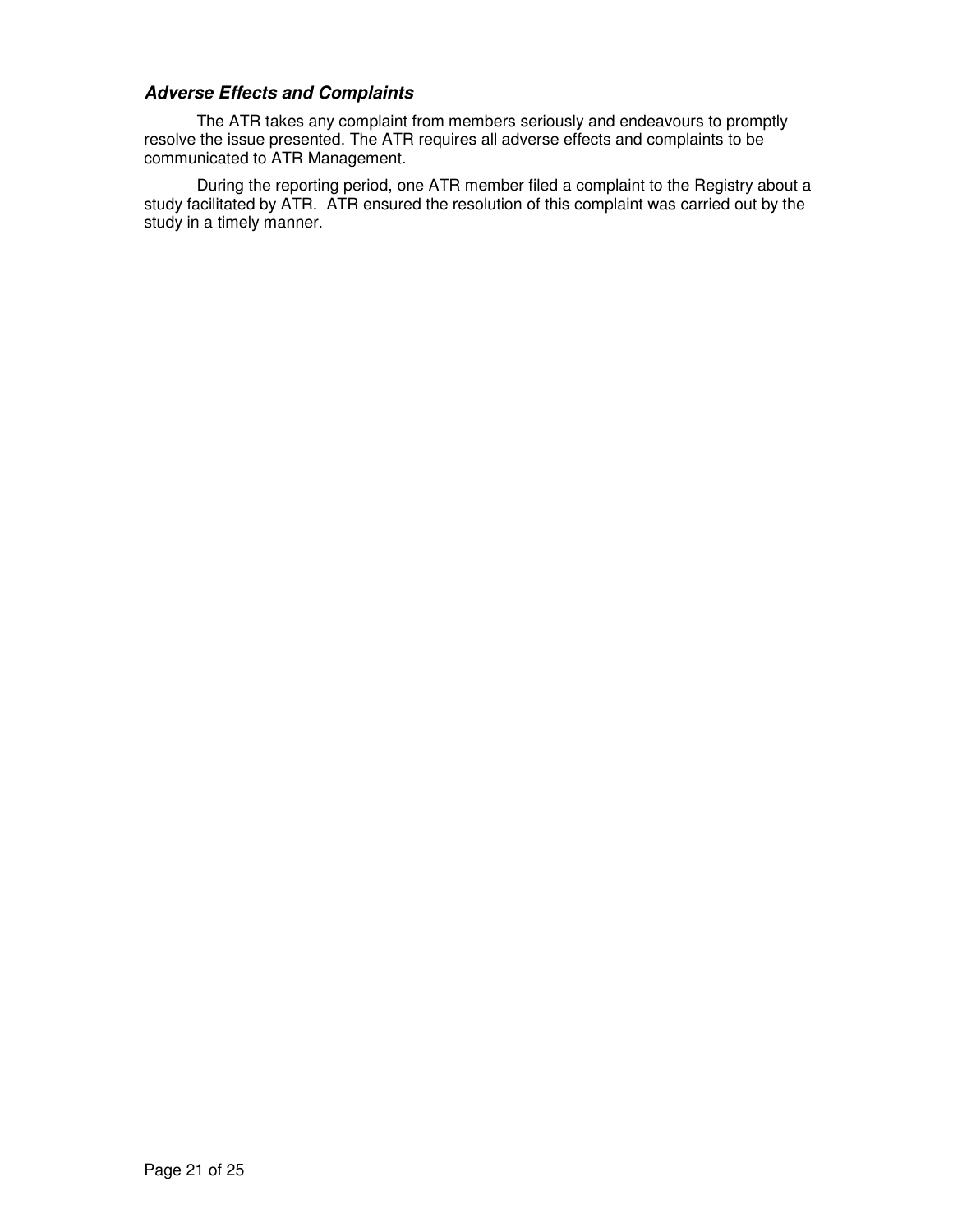# **Adverse Effects and Complaints**

The ATR takes any complaint from members seriously and endeavours to promptly resolve the issue presented. The ATR requires all adverse effects and complaints to be communicated to ATR Management.

During the reporting period, one ATR member filed a complaint to the Registry about a study facilitated by ATR. ATR ensured the resolution of this complaint was carried out by the study in a timely manner.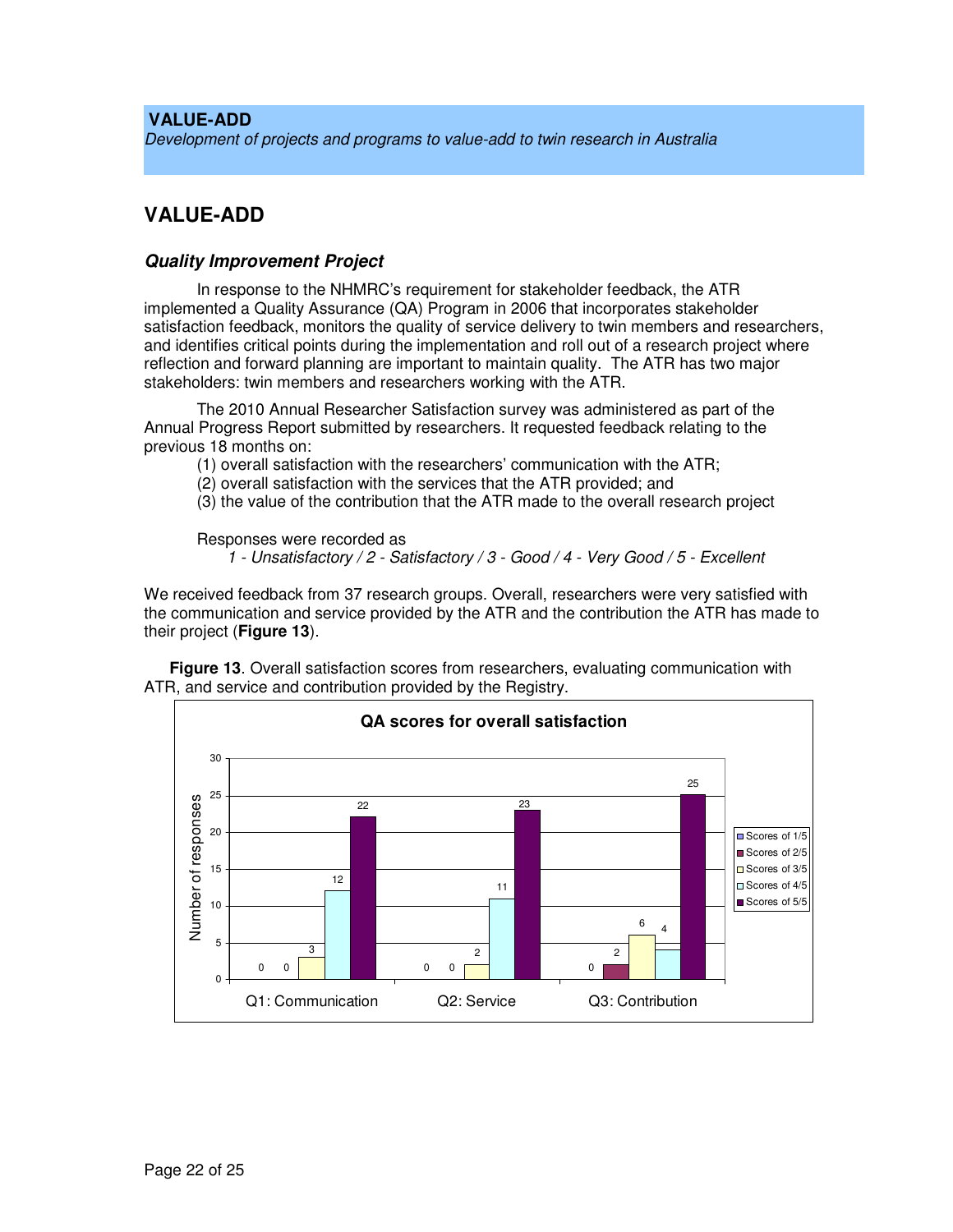### **VALUE-ADD**

Development of projects and programs to value-add to twin research in Australia

# **VALUE-ADD**

### **Quality Improvement Project**

In response to the NHMRC's requirement for stakeholder feedback, the ATR implemented a Quality Assurance (QA) Program in 2006 that incorporates stakeholder satisfaction feedback, monitors the quality of service delivery to twin members and researchers, and identifies critical points during the implementation and roll out of a research project where reflection and forward planning are important to maintain quality. The ATR has two major stakeholders: twin members and researchers working with the ATR.

The 2010 Annual Researcher Satisfaction survey was administered as part of the Annual Progress Report submitted by researchers. It requested feedback relating to the previous 18 months on:

(1) overall satisfaction with the researchers' communication with the ATR;

(2) overall satisfaction with the services that the ATR provided; and

(3) the value of the contribution that the ATR made to the overall research project

Responses were recorded as 1 - Unsatisfactory / 2 - Satisfactory / 3 - Good / 4 - Very Good / 5 - Excellent

We received feedback from 37 research groups. Overall, researchers were very satisfied with the communication and service provided by the ATR and the contribution the ATR has made to their project (**Figure 13**).

**Figure 13**. Overall satisfaction scores from researchers, evaluating communication with ATR, and service and contribution provided by the Registry.

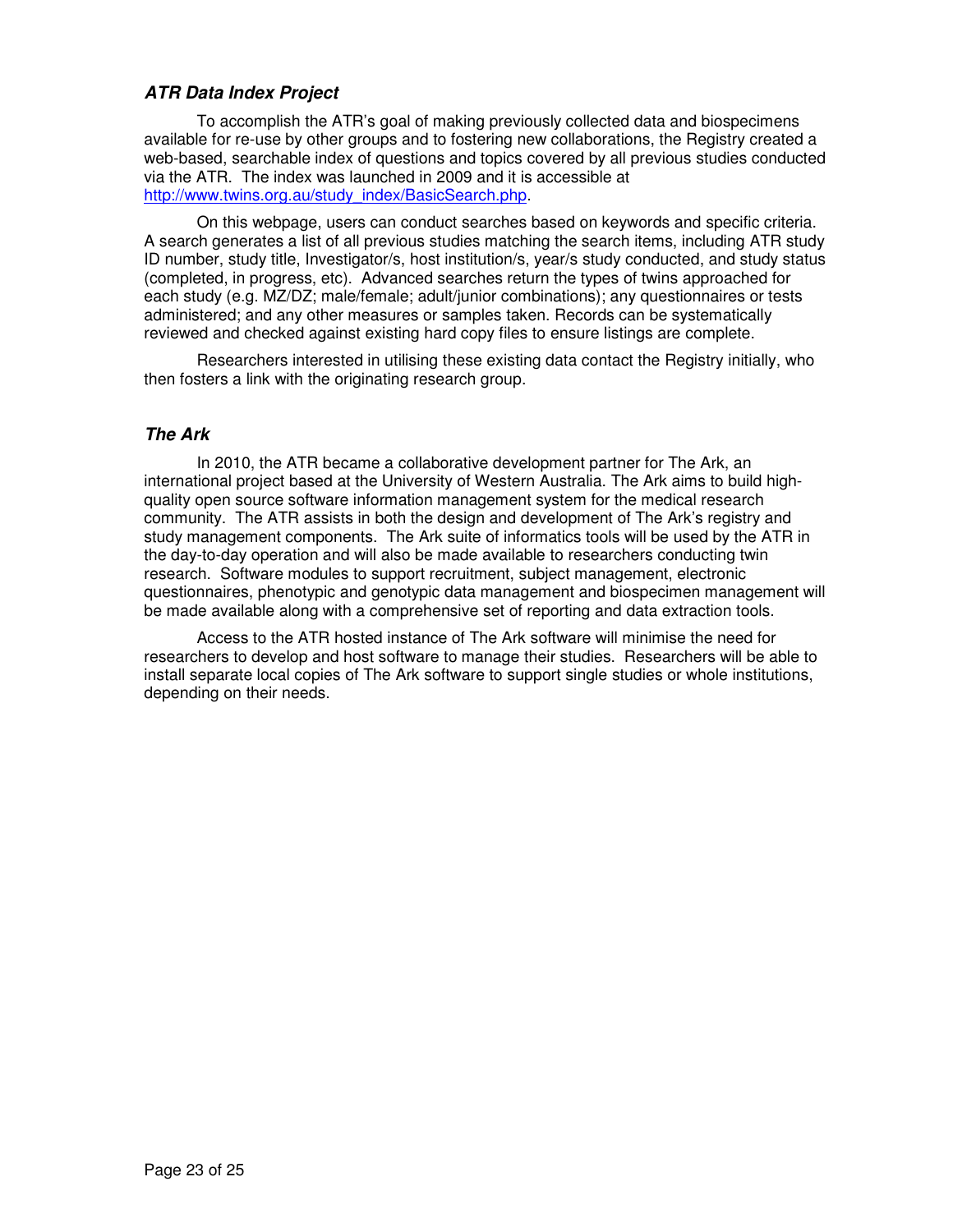# **ATR Data Index Project**

To accomplish the ATR's goal of making previously collected data and biospecimens available for re-use by other groups and to fostering new collaborations, the Registry created a web-based, searchable index of questions and topics covered by all previous studies conducted via the ATR. The index was launched in 2009 and it is accessible at http://www.twins.org.au/study\_index/BasicSearch.php.

On this webpage, users can conduct searches based on keywords and specific criteria. A search generates a list of all previous studies matching the search items, including ATR study ID number, study title, Investigator/s, host institution/s, year/s study conducted, and study status (completed, in progress, etc). Advanced searches return the types of twins approached for each study (e.g. MZ/DZ; male/female; adult/junior combinations); any questionnaires or tests administered; and any other measures or samples taken. Records can be systematically reviewed and checked against existing hard copy files to ensure listings are complete.

Researchers interested in utilising these existing data contact the Registry initially, who then fosters a link with the originating research group.

# **The Ark**

In 2010, the ATR became a collaborative development partner for The Ark, an international project based at the University of Western Australia. The Ark aims to build highquality open source software information management system for the medical research community. The ATR assists in both the design and development of The Ark's registry and study management components. The Ark suite of informatics tools will be used by the ATR in the day-to-day operation and will also be made available to researchers conducting twin research. Software modules to support recruitment, subject management, electronic questionnaires, phenotypic and genotypic data management and biospecimen management will be made available along with a comprehensive set of reporting and data extraction tools.

Access to the ATR hosted instance of The Ark software will minimise the need for researchers to develop and host software to manage their studies. Researchers will be able to install separate local copies of The Ark software to support single studies or whole institutions, depending on their needs.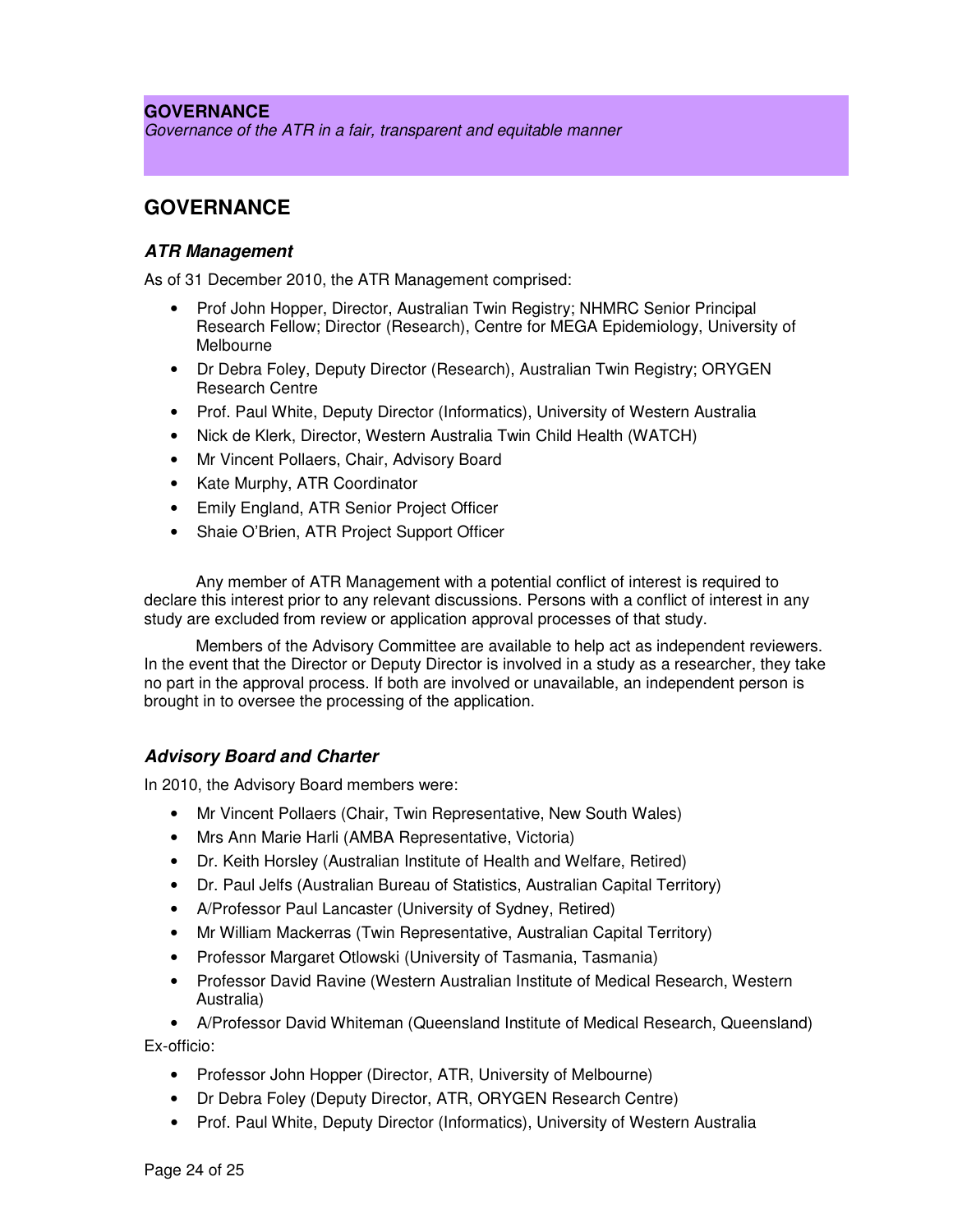### **GOVERNANCE**

Governance of the ATR in a fair, transparent and equitable manner

# **GOVERNANCE**

### **ATR Management**

As of 31 December 2010, the ATR Management comprised:

- Prof John Hopper, Director, Australian Twin Registry; NHMRC Senior Principal Research Fellow; Director (Research), Centre for MEGA Epidemiology, University of Melbourne
- Dr Debra Foley, Deputy Director (Research), Australian Twin Registry; ORYGEN Research Centre
- Prof. Paul White, Deputy Director (Informatics), University of Western Australia
- Nick de Klerk, Director, Western Australia Twin Child Health (WATCH)
- Mr Vincent Pollaers, Chair, Advisory Board
- Kate Murphy, ATR Coordinator
- Emily England, ATR Senior Project Officer
- Shaie O'Brien, ATR Project Support Officer

Any member of ATR Management with a potential conflict of interest is required to declare this interest prior to any relevant discussions. Persons with a conflict of interest in any study are excluded from review or application approval processes of that study.

Members of the Advisory Committee are available to help act as independent reviewers. In the event that the Director or Deputy Director is involved in a study as a researcher, they take no part in the approval process. If both are involved or unavailable, an independent person is brought in to oversee the processing of the application.

# **Advisory Board and Charter**

In 2010, the Advisory Board members were:

- Mr Vincent Pollaers (Chair, Twin Representative, New South Wales)
- Mrs Ann Marie Harli (AMBA Representative, Victoria)
- Dr. Keith Horsley (Australian Institute of Health and Welfare, Retired)
- Dr. Paul Jelfs (Australian Bureau of Statistics, Australian Capital Territory)
- A/Professor Paul Lancaster (University of Sydney, Retired)
- Mr William Mackerras (Twin Representative, Australian Capital Territory)
- Professor Margaret Otlowski (University of Tasmania, Tasmania)
- Professor David Ravine (Western Australian Institute of Medical Research, Western Australia)

• A/Professor David Whiteman (Queensland Institute of Medical Research, Queensland) Ex-officio:

- Professor John Hopper (Director, ATR, University of Melbourne)
- Dr Debra Foley (Deputy Director, ATR, ORYGEN Research Centre)
- Prof. Paul White, Deputy Director (Informatics), University of Western Australia